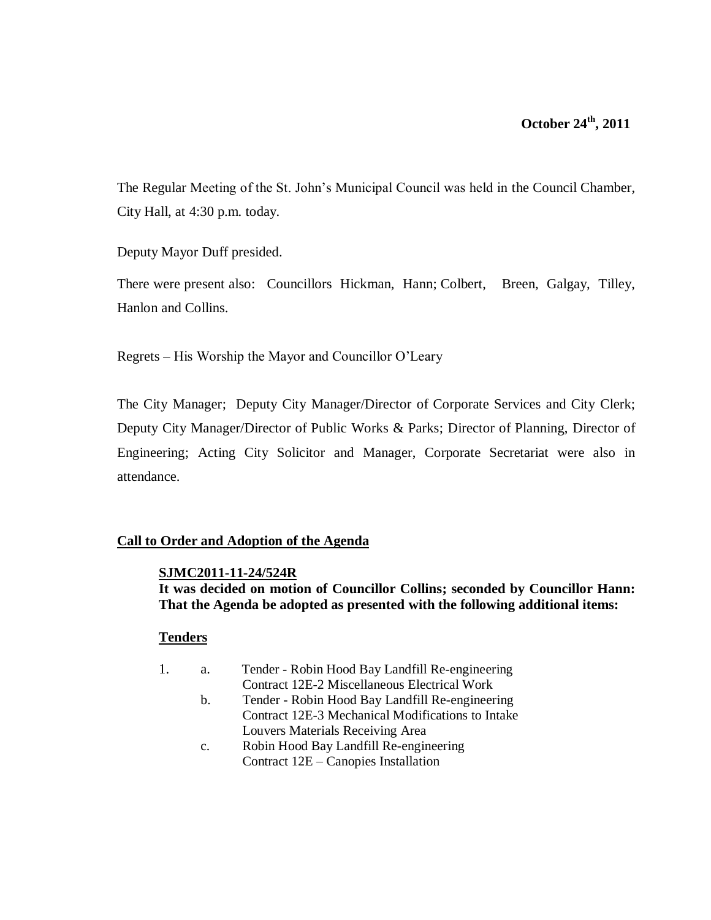# **October 24th, 2011**

The Regular Meeting of the St. John's Municipal Council was held in the Council Chamber, City Hall, at 4:30 p.m. today.

Deputy Mayor Duff presided.

There were present also: Councillors Hickman, Hann; Colbert, Breen, Galgay, Tilley, Hanlon and Collins.

Regrets – His Worship the Mayor and Councillor O'Leary

The City Manager; Deputy City Manager/Director of Corporate Services and City Clerk; Deputy City Manager/Director of Public Works & Parks; Director of Planning, Director of Engineering; Acting City Solicitor and Manager, Corporate Secretariat were also in attendance.

## **Call to Order and Adoption of the Agenda**

#### **SJMC2011-11-24/524R**

**It was decided on motion of Councillor Collins; seconded by Councillor Hann: That the Agenda be adopted as presented with the following additional items:**

#### **Tenders**

- 1. a. Tender Robin Hood Bay Landfill Re-engineering Contract 12E-2 Miscellaneous Electrical Work
	- b. Tender Robin Hood Bay Landfill Re-engineering Contract 12E-3 Mechanical Modifications to Intake Louvers Materials Receiving Area
	- c. Robin Hood Bay Landfill Re-engineering Contract 12E – Canopies Installation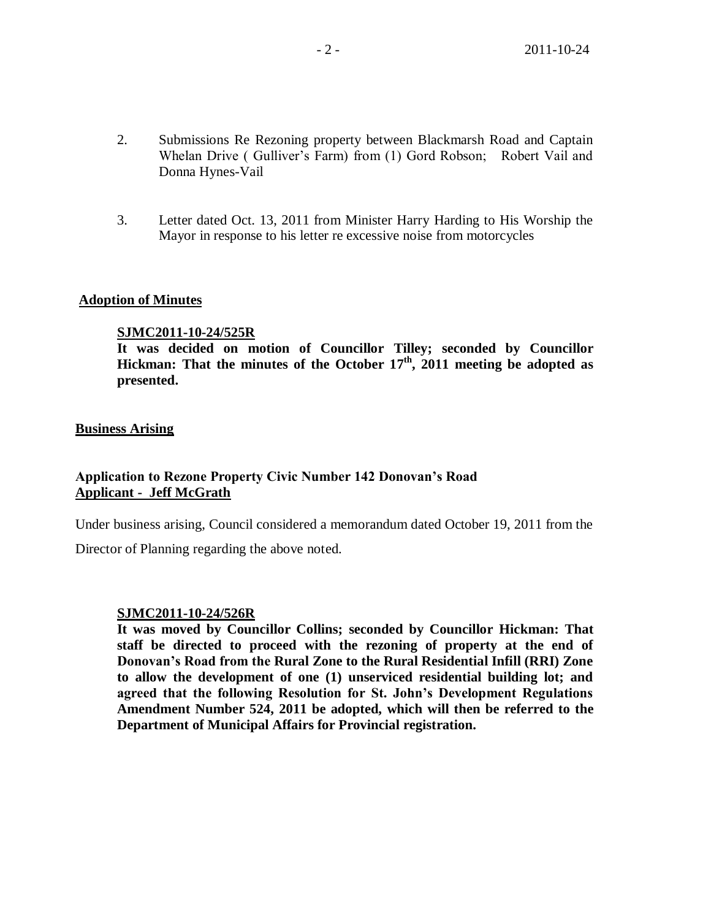- 2. Submissions Re Rezoning property between Blackmarsh Road and Captain Whelan Drive ( Gulliver's Farm) from (1) Gord Robson; Robert Vail and Donna Hynes-Vail
- 3. Letter dated Oct. 13, 2011 from Minister Harry Harding to His Worship the Mayor in response to his letter re excessive noise from motorcycles

#### **Adoption of Minutes**

#### **SJMC2011-10-24/525R**

**It was decided on motion of Councillor Tilley; seconded by Councillor Hickman: That the minutes of the October 17 th , 2011 meeting be adopted as presented.**

#### **Business Arising**

## **Application to Rezone Property Civic Number 142 Donovan's Road Applicant - Jeff McGrath**

Under business arising, Council considered a memorandum dated October 19, 2011 from the

Director of Planning regarding the above noted.

#### **SJMC2011-10-24/526R**

**It was moved by Councillor Collins; seconded by Councillor Hickman: That staff be directed to proceed with the rezoning of property at the end of Donovan's Road from the Rural Zone to the Rural Residential Infill (RRI) Zone to allow the development of one (1) unserviced residential building lot; and agreed that the following Resolution for St. John's Development Regulations Amendment Number 524, 2011 be adopted, which will then be referred to the Department of Municipal Affairs for Provincial registration.**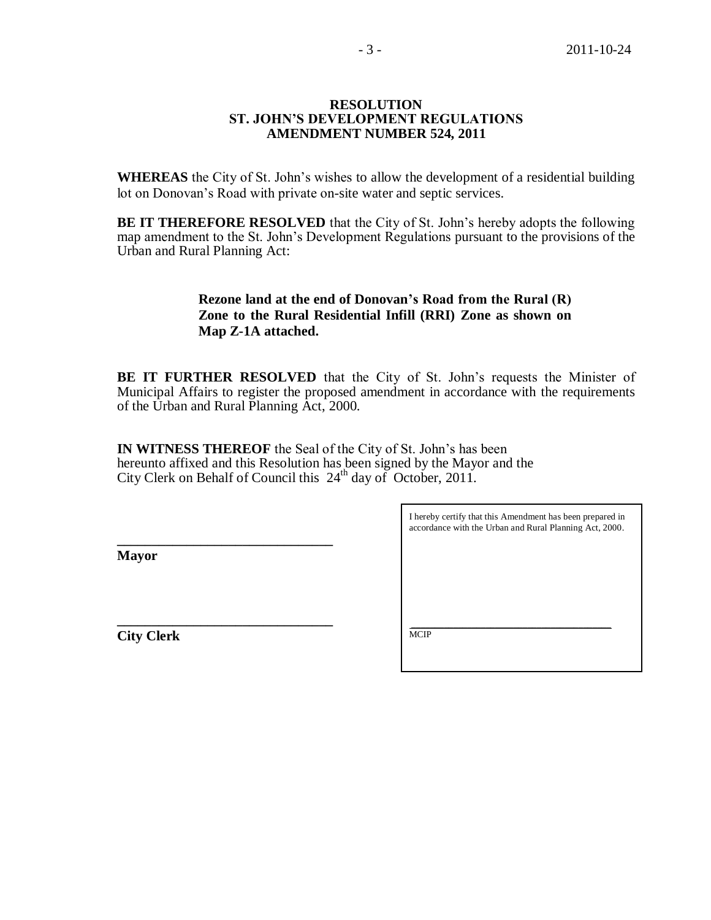#### **RESOLUTION ST. JOHN'S DEVELOPMENT REGULATIONS AMENDMENT NUMBER 524, 2011**

**WHEREAS** the City of St. John's wishes to allow the development of a residential building lot on Donovan's Road with private on-site water and septic services.

**BE IT THEREFORE RESOLVED** that the City of St. John's hereby adopts the following map amendment to the St. John's Development Regulations pursuant to the provisions of the Urban and Rural Planning Act:

## **Rezone land at the end of Donovan's Road from the Rural (R) Zone to the Rural Residential Infill (RRI) Zone as shown on Map Z-1A attached.**

**BE IT FURTHER RESOLVED** that the City of St. John's requests the Minister of Municipal Affairs to register the proposed amendment in accordance with the requirements of the Urban and Rural Planning Act, 2000.

**IN WITNESS THEREOF** the Seal of the City of St. John's has been hereunto affixed and this Resolution has been signed by the Mayor and the City Clerk on Behalf of Council this 24th day ofOctober, 2011.

**Mayor**

**\_\_\_\_\_\_\_\_\_\_\_\_\_\_\_\_\_\_\_\_\_\_\_\_\_\_\_\_\_\_\_**

**\_\_\_\_\_\_\_\_\_\_\_\_\_\_\_\_\_\_\_\_\_\_\_\_\_\_\_\_\_\_\_ City Clerk**

I hereby certify that this Amendment has been prepared in accordance with the Urban and Rural Planning Act, 2000.

 $\_$  ,  $\_$  ,  $\_$  ,  $\_$  ,  $\_$  ,  $\_$  ,  $\_$  ,  $\_$  ,  $\_$  ,  $\_$  ,  $\_$  ,  $\_$  ,  $\_$  ,  $\_$ **MCIP**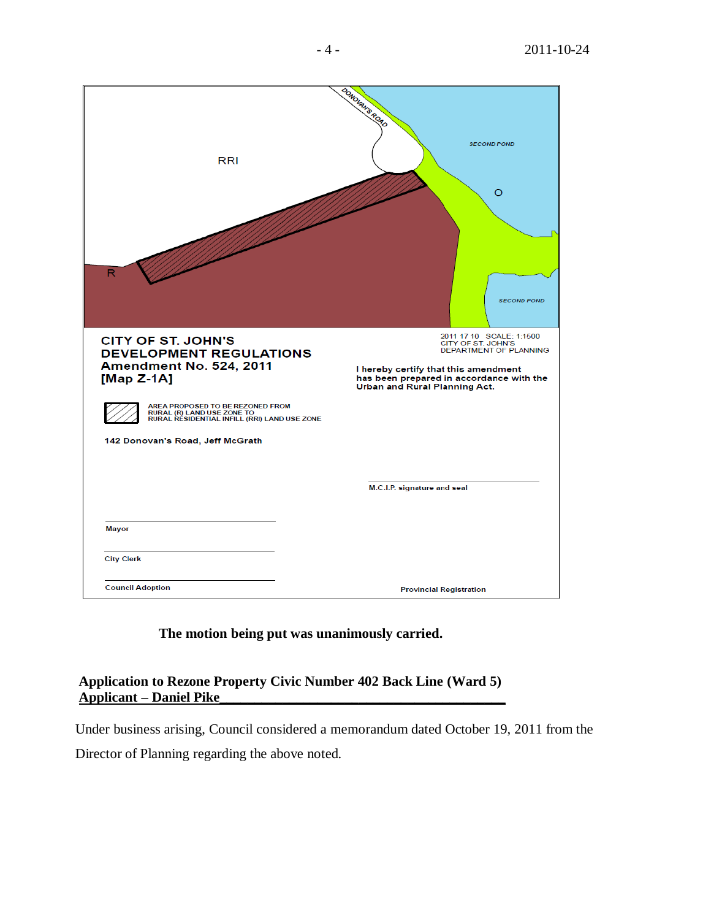| <b>RRI</b><br>R                                                                                                                 | BONDLAN'S ROAD<br><b>SECOND POND</b><br>O<br><b>SECOND POND</b>                                                         |
|---------------------------------------------------------------------------------------------------------------------------------|-------------------------------------------------------------------------------------------------------------------------|
| <b>CITY OF ST. JOHN'S</b><br><b>DEVELOPMENT REGULATIONS</b><br>Amendment No. 524, 2011                                          | 2011 17 10 SCALE: 1:1500<br>CITY OF ST. JOHN'S<br><b>DEPARTMENT OF PLANNING</b><br>I hereby certify that this amendment |
| [Map $Z-1A$ ]<br>AREA PROPOSED TO BE REZONED FROM<br>RURAL (R) LAND USE ZONE TO<br>RURAL RESIDENTIAL INFILL (RRI) LAND USE ZONE | has been prepared in accordance with the<br>Urban and Rural Planning Act.                                               |
| 142 Donovan's Road, Jeff McGrath                                                                                                |                                                                                                                         |
|                                                                                                                                 | M.C.I.P. signature and seal                                                                                             |
| Mayor                                                                                                                           |                                                                                                                         |
| <b>City Clerk</b>                                                                                                               |                                                                                                                         |
| <b>Council Adoption</b>                                                                                                         | <b>Provincial Registration</b>                                                                                          |

**The motion being put was unanimously carried.**

# **Application to Rezone Property Civic Number 402 Back Line (Ward 5) Applicant – Daniel Pike\_\_\_\_\_\_\_\_\_\_\_\_\_\_\_\_\_\_\_\_\_\_\_\_\_\_\_\_\_\_\_\_\_\_\_\_\_\_\_\_\_**

Under business arising, Council considered a memorandum dated October 19, 2011 from the

Director of Planning regarding the above noted.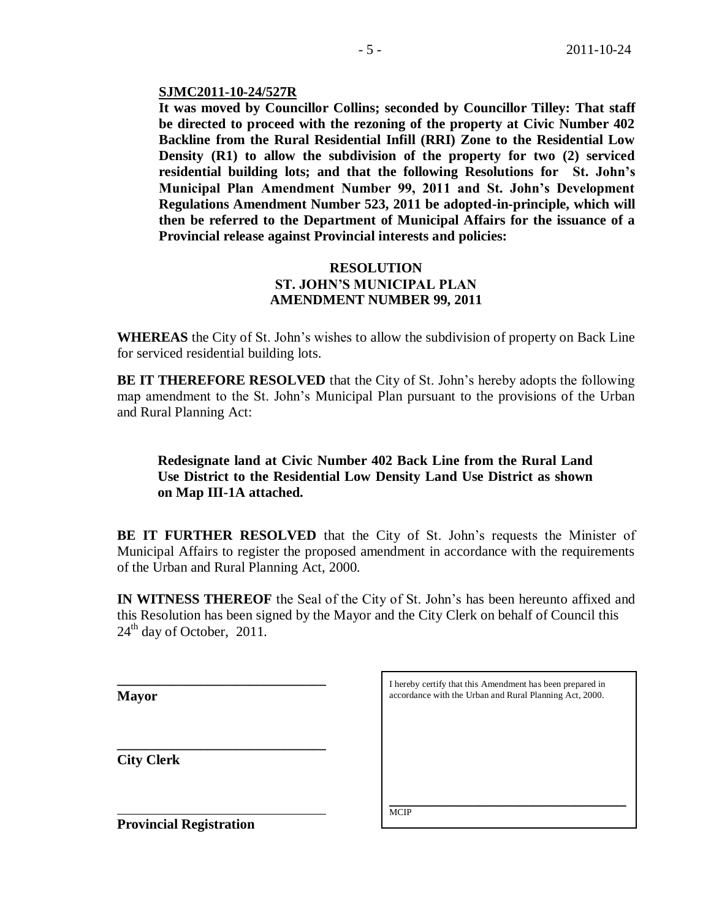#### **SJMC2011-10-24/527R**

**It was moved by Councillor Collins; seconded by Councillor Tilley: That staff be directed to proceed with the rezoning of the property at Civic Number 402 Backline from the Rural Residential Infill (RRI) Zone to the Residential Low Density (R1) to allow the subdivision of the property for two (2) serviced residential building lots; and that the following Resolutions for St. John's Municipal Plan Amendment Number 99, 2011 and St. John's Development Regulations Amendment Number 523, 2011 be adopted-in-principle, which will then be referred to the Department of Municipal Affairs for the issuance of a Provincial release against Provincial interests and policies:**

#### **RESOLUTION ST. JOHN'S MUNICIPAL PLAN AMENDMENT NUMBER 99, 2011**

**WHEREAS** the City of St. John's wishes to allow the subdivision of property on Back Line for serviced residential building lots.

**BE IT THEREFORE RESOLVED** that the City of St. John's hereby adopts the following map amendment to the St. John's Municipal Plan pursuant to the provisions of the Urban and Rural Planning Act:

## **Redesignate land at Civic Number 402 Back Line from the Rural Land Use District to the Residential Low Density Land Use District as shown on Map III-1A attached.**

**BE IT FURTHER RESOLVED** that the City of St. John's requests the Minister of Municipal Affairs to register the proposed amendment in accordance with the requirements of the Urban and Rural Planning Act, 2000.

**IN WITNESS THEREOF** the Seal of the City of St. John's has been hereunto affixed and this Resolution has been signed by the Mayor and the City Clerk on behalf of Council this  $24<sup>th</sup>$  day of October, 2011.

**Mayor**

**City Clerk**

| I hereby certify that this Amendment has been prepared in |
|-----------------------------------------------------------|
| accordance with the Urban and Rural Planning Act, 2000.   |

\_\_\_\_\_\_\_\_\_\_\_\_\_\_\_\_\_\_\_\_\_\_\_\_\_\_\_\_\_\_\_\_\_\_\_\_\_\_\_\_\_\_\_\_\_\_\_\_\_\_\_ **MCIP** 

**Provincial Registration**

**\_\_\_\_\_\_\_\_\_\_\_\_\_\_\_\_\_\_\_\_\_\_\_\_\_\_\_\_\_\_**

**\_\_\_\_\_\_\_\_\_\_\_\_\_\_\_\_\_\_\_\_\_\_\_\_\_\_\_\_\_\_**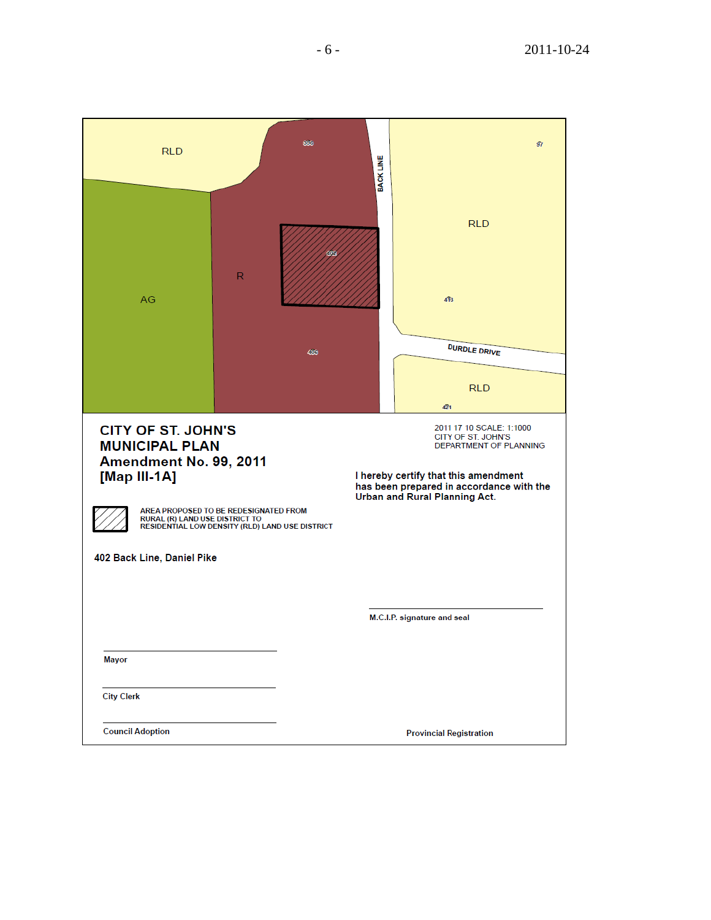| <b>RLD</b>                                                                                                                                                   | 396                                                                                      | <b>BACK LINE</b>                                                                                                                                                                                     | 97 |
|--------------------------------------------------------------------------------------------------------------------------------------------------------------|------------------------------------------------------------------------------------------|------------------------------------------------------------------------------------------------------------------------------------------------------------------------------------------------------|----|
| AG                                                                                                                                                           | 402<br>$\mathsf{R}$                                                                      | <b>RLD</b><br>413                                                                                                                                                                                    |    |
|                                                                                                                                                              | 400                                                                                      | <b>DURDLE DRIVE</b><br><b>RLD</b><br>421                                                                                                                                                             |    |
| <b>CITY OF ST. JOHN'S</b><br><b>MUNICIPAL PLAN</b><br>Amendment No. 99, 2011<br>[Map III-1A]<br>RURAL (R) LAND USE DISTRICT TO<br>402 Back Line, Daniel Pike | AREA PROPOSED TO BE REDESIGNATED FROM<br>RESIDENTIAL LOW DENSITY (RLD) LAND USE DISTRICT | 2011 17 10 SCALE: 1:1000<br>CITY OF ST. JOHN'S<br><b>DEPARTMENT OF PLANNING</b><br>I hereby certify that this amendment<br>has been prepared in accordance with the<br>Urban and Rural Planning Act. |    |
|                                                                                                                                                              |                                                                                          | M.C.I.P. signature and seal                                                                                                                                                                          |    |
| <b>Mayor</b><br><b>City Clerk</b>                                                                                                                            |                                                                                          |                                                                                                                                                                                                      |    |
| <b>Council Adoption</b>                                                                                                                                      |                                                                                          | <b>Provincial Registration</b>                                                                                                                                                                       |    |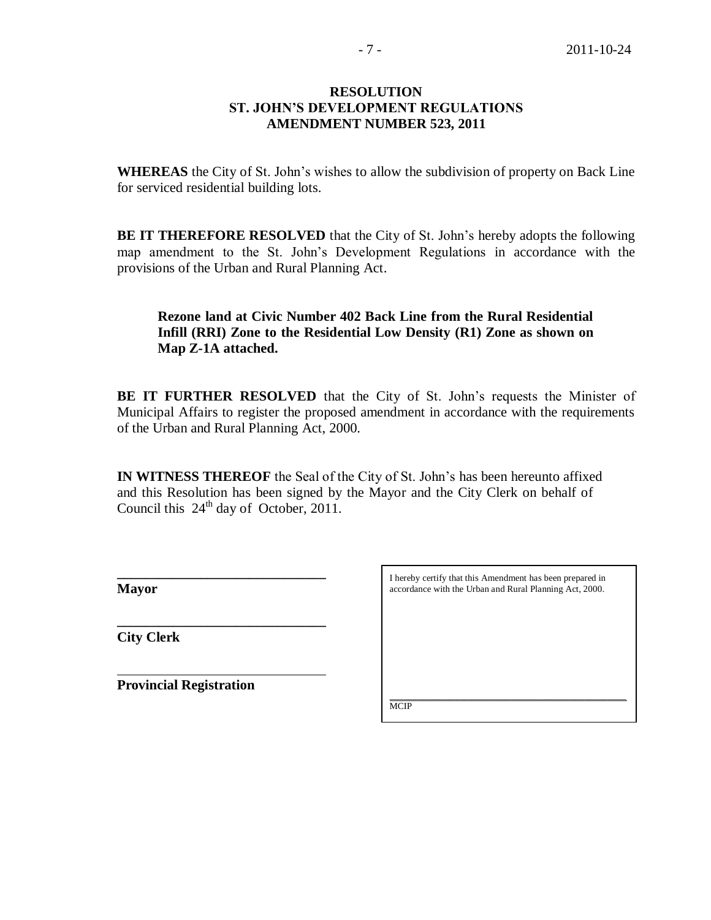#### **RESOLUTION ST. JOHN'S DEVELOPMENT REGULATIONS AMENDMENT NUMBER 523, 2011**

**WHEREAS** the City of St. John's wishes to allow the subdivision of property on Back Line for serviced residential building lots.

**BE IT THEREFORE RESOLVED** that the City of St. John's hereby adopts the following map amendment to the St. John's Development Regulations in accordance with the provisions of the Urban and Rural Planning Act.

# **Rezone land at Civic Number 402 Back Line from the Rural Residential Infill (RRI) Zone to the Residential Low Density (R1) Zone as shown on Map Z-1A attached.**

**BE IT FURTHER RESOLVED** that the City of St. John's requests the Minister of Municipal Affairs to register the proposed amendment in accordance with the requirements of the Urban and Rural Planning Act, 2000.

**IN WITNESS THEREOF** the Seal of the City of St. John's has been hereunto affixed and this Resolution has been signed by the Mayor and the City Clerk on behalf of Council this  $24<sup>th</sup>$  day of October, 2011.

**Mayor**

**City Clerk**

**Provincial Registration**

**\_\_\_\_\_\_\_\_\_\_\_\_\_\_\_\_\_\_\_\_\_\_\_\_\_\_\_\_\_\_**

**\_\_\_\_\_\_\_\_\_\_\_\_\_\_\_\_\_\_\_\_\_\_\_\_\_\_\_\_\_\_** 

I hereby certify that this Amendment has been prepared in accordance with the Urban and Rural Planning Act, 2000.

\_\_\_\_\_\_\_\_\_\_\_\_\_\_\_\_\_\_\_\_\_\_\_\_\_\_\_\_\_\_\_\_\_\_\_\_\_\_\_\_\_\_\_\_\_\_\_\_\_\_\_ **MCIP**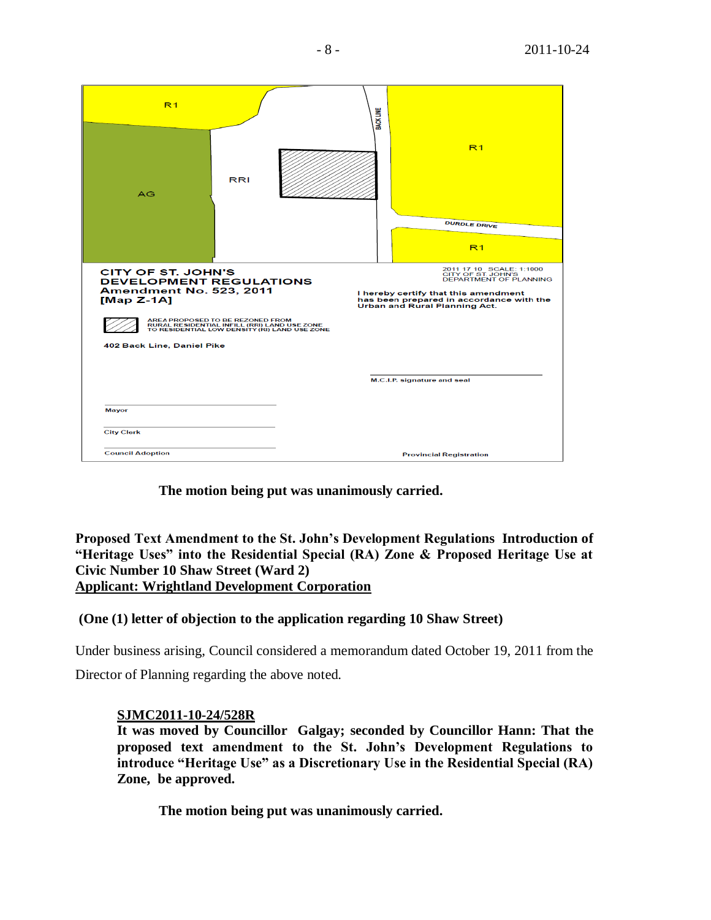| R <sub>1</sub>                                                                                                |                                                                                                                                   | <b>BACK LINE</b> |                                                                                                                                                                                               |
|---------------------------------------------------------------------------------------------------------------|-----------------------------------------------------------------------------------------------------------------------------------|------------------|-----------------------------------------------------------------------------------------------------------------------------------------------------------------------------------------------|
| AG                                                                                                            | <b>RRI</b>                                                                                                                        |                  | R <sub>1</sub>                                                                                                                                                                                |
|                                                                                                               |                                                                                                                                   |                  | <b>DURDLE DRIVE</b>                                                                                                                                                                           |
|                                                                                                               |                                                                                                                                   |                  |                                                                                                                                                                                               |
|                                                                                                               |                                                                                                                                   |                  | R <sub>1</sub>                                                                                                                                                                                |
| <b>CITY OF ST. JOHN'S</b><br><b>DEVELOPMENT REGULATIONS</b><br><b>Amendment No. 523, 2011</b><br>$[Map Z-1A]$ |                                                                                                                                   |                  | 2011 17 10 SCALE: 1:1000<br>CITY OF ST. JOHN'S<br>DEPARTMENT OF PLANNING<br>I hereby certify that this amendment<br>has been prepared in accordance with the<br>Urban and Rural Planning Act. |
|                                                                                                               | AREA PROPOSED TO BE REZONED FROM<br>RURAL RESIDENTIAL INFILL (RRI) LAND USE ZONE<br>TO RESIDENTIAL LOW DENSITY (RI) LAND USE ZONE |                  |                                                                                                                                                                                               |
| 402 Back Line, Daniel Pike                                                                                    |                                                                                                                                   |                  |                                                                                                                                                                                               |
|                                                                                                               |                                                                                                                                   |                  | M.C.I.P. signature and seal                                                                                                                                                                   |
|                                                                                                               |                                                                                                                                   |                  |                                                                                                                                                                                               |
| <b>Mayor</b>                                                                                                  |                                                                                                                                   |                  |                                                                                                                                                                                               |
| <b>City Clerk</b>                                                                                             |                                                                                                                                   |                  |                                                                                                                                                                                               |
| <b>Council Adoption</b>                                                                                       |                                                                                                                                   |                  | <b>Provincial Registration</b>                                                                                                                                                                |

**The motion being put was unanimously carried.** 

**Proposed Text Amendment to the St. John's Development Regulations Introduction of "Heritage Uses" into the Residential Special (RA) Zone & Proposed Heritage Use at Civic Number 10 Shaw Street (Ward 2) Applicant: Wrightland Development Corporation**

## **(One (1) letter of objection to the application regarding 10 Shaw Street)**

Under business arising, Council considered a memorandum dated October 19, 2011 from the Director of Planning regarding the above noted.

## **SJMC2011-10-24/528R**

**It was moved by Councillor Galgay; seconded by Councillor Hann: That the proposed text amendment to the St. John's Development Regulations to introduce "Heritage Use" as a Discretionary Use in the Residential Special (RA) Zone, be approved.**

**The motion being put was unanimously carried.**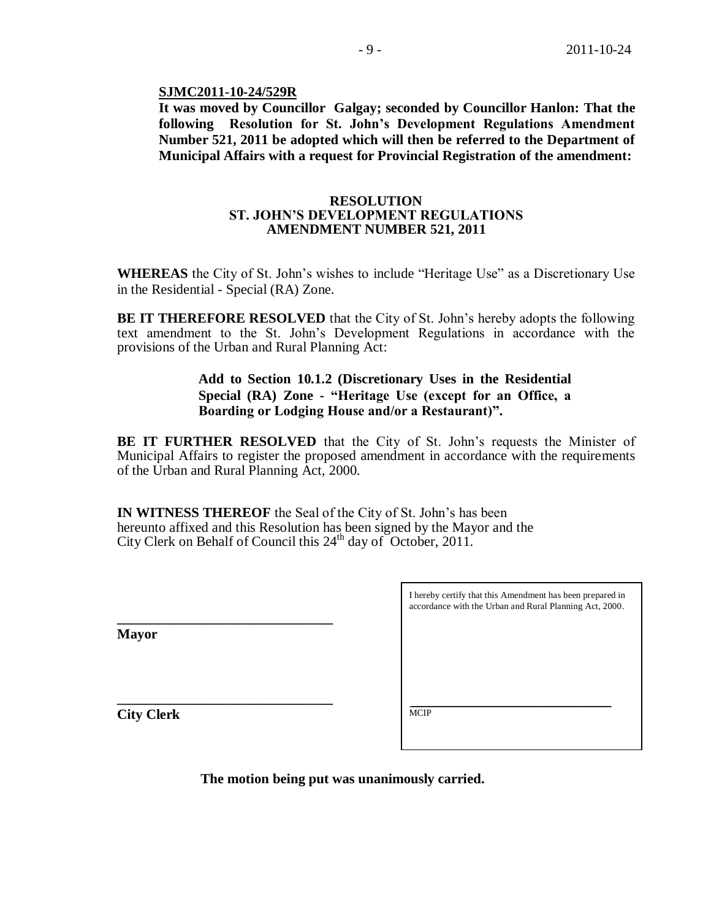#### **SJMC2011-10-24/529R**

**It was moved by Councillor Galgay; seconded by Councillor Hanlon: That the following Resolution for St. John's Development Regulations Amendment Number 521, 2011 be adopted which will then be referred to the Department of Municipal Affairs with a request for Provincial Registration of the amendment:**

#### **RESOLUTION ST. JOHN'S DEVELOPMENT REGULATIONS AMENDMENT NUMBER 521, 2011**

**WHEREAS** the City of St. John's wishes to include "Heritage Use" as a Discretionary Use in the Residential - Special (RA) Zone.

**BE IT THEREFORE RESOLVED** that the City of St. John's hereby adopts the following text amendment to the St. John's Development Regulations in accordance with the provisions of the Urban and Rural Planning Act:

## **Add to Section 10.1.2 (Discretionary Uses in the Residential Special (RA) Zone - "Heritage Use (except for an Office, a Boarding or Lodging House and/or a Restaurant)".**

**BE IT FURTHER RESOLVED** that the City of St. John's requests the Minister of Municipal Affairs to register the proposed amendment in accordance with the requirements of the Urban and Rural Planning Act, 2000.

**IN WITNESS THEREOF** the Seal of the City of St. John's has been hereunto affixed and this Resolution has been signed by the Mayor and the City Clerk on Behalf of Council this 24<sup>th</sup> day of October, 2011.

**Mayor**

**\_\_\_\_\_\_\_\_\_\_\_\_\_\_\_\_\_\_\_\_\_\_\_\_\_\_\_\_\_\_\_**

**\_\_\_\_\_\_\_\_\_\_\_\_\_\_\_\_\_\_\_\_\_\_\_\_\_\_\_\_\_\_\_**

| I hereby certify that this Amendment has been prepared in<br>accordance with the Urban and Rural Planning Act, 2000. |
|----------------------------------------------------------------------------------------------------------------------|
|                                                                                                                      |

 $\_$  ,  $\_$  ,  $\_$  ,  $\_$  ,  $\_$  ,  $\_$  ,  $\_$  ,  $\_$  ,  $\_$  ,  $\_$  ,  $\_$  ,  $\_$  ,  $\_$  ,  $\_$ 

**City Clerk**

**MCIP** 

**The motion being put was unanimously carried.**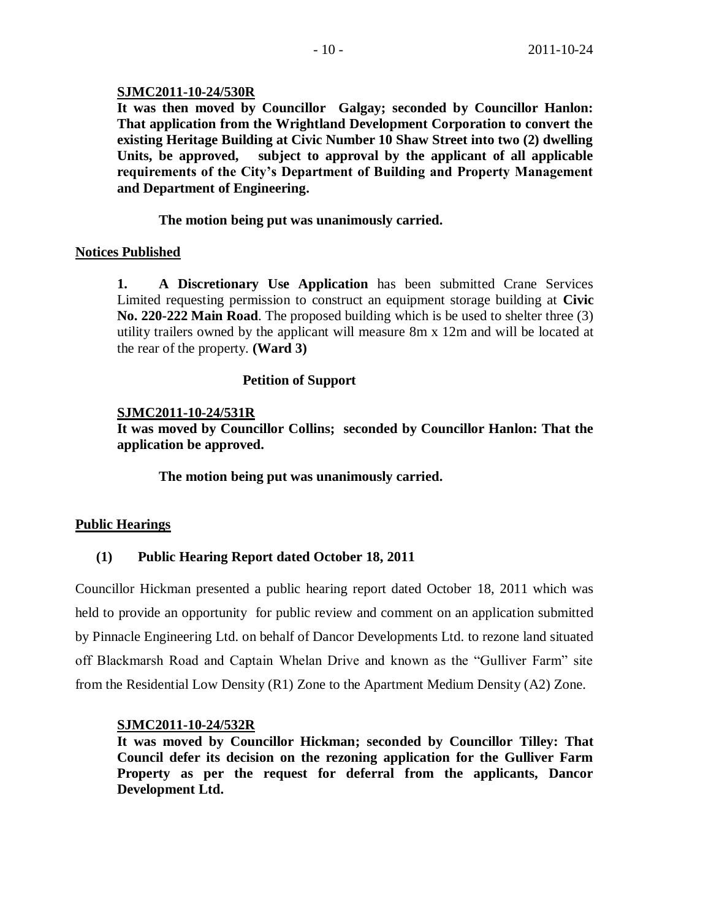## **SJMC2011-10-24/530R**

**It was then moved by Councillor Galgay; seconded by Councillor Hanlon: That application from the Wrightland Development Corporation to convert the existing Heritage Building at Civic Number 10 Shaw Street into two (2) dwelling Units, be approved, subject to approval by the applicant of all applicable requirements of the City's Department of Building and Property Management and Department of Engineering.**

**The motion being put was unanimously carried.**

## **Notices Published**

**1. A Discretionary Use Application** has been submitted Crane Services Limited requesting permission to construct an equipment storage building at **Civic No. 220-222 Main Road**. The proposed building which is be used to shelter three (3) utility trailers owned by the applicant will measure 8m x 12m and will be located at the rear of the property. **(Ward 3)**

## **Petition of Support**

## **SJMC2011-10-24/531R**

**It was moved by Councillor Collins; seconded by Councillor Hanlon: That the application be approved.**

**The motion being put was unanimously carried.** 

## **Public Hearings**

# **(1) Public Hearing Report dated October 18, 2011**

Councillor Hickman presented a public hearing report dated October 18, 2011 which was held to provide an opportunity for public review and comment on an application submitted by Pinnacle Engineering Ltd. on behalf of Dancor Developments Ltd. to rezone land situated off Blackmarsh Road and Captain Whelan Drive and known as the "Gulliver Farm" site from the Residential Low Density (R1) Zone to the Apartment Medium Density (A2) Zone.

## **SJMC2011-10-24/532R**

**It was moved by Councillor Hickman; seconded by Councillor Tilley: That Council defer its decision on the rezoning application for the Gulliver Farm Property as per the request for deferral from the applicants, Dancor Development Ltd.**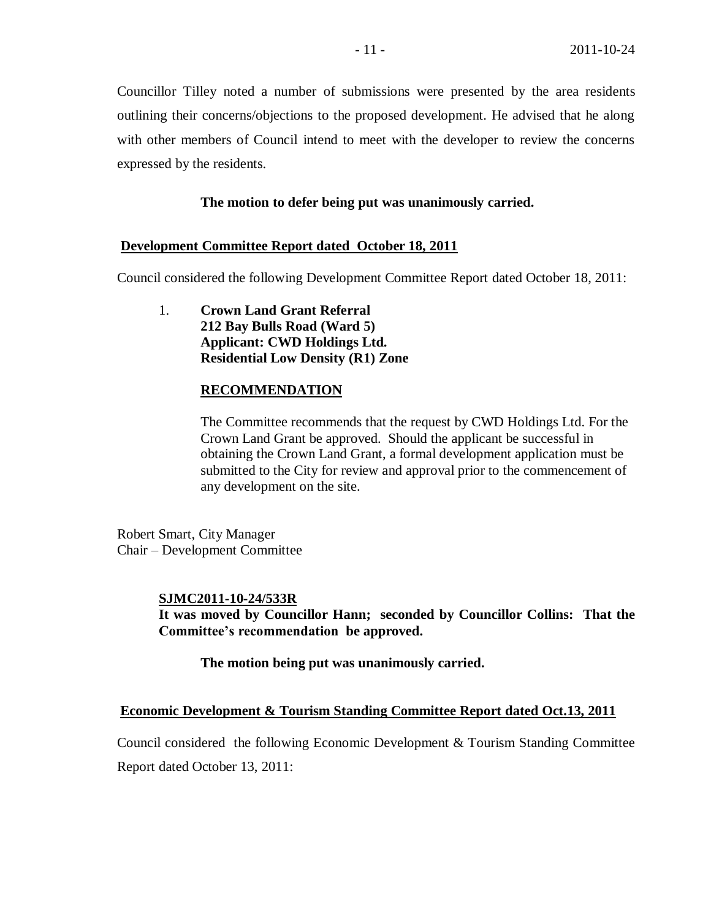Councillor Tilley noted a number of submissions were presented by the area residents outlining their concerns/objections to the proposed development. He advised that he along with other members of Council intend to meet with the developer to review the concerns expressed by the residents.

## **The motion to defer being put was unanimously carried.**

#### **Development Committee Report dated October 18, 2011**

Council considered the following Development Committee Report dated October 18, 2011:

1. **Crown Land Grant Referral 212 Bay Bulls Road (Ward 5) Applicant: CWD Holdings Ltd. Residential Low Density (R1) Zone**

#### **RECOMMENDATION**

The Committee recommends that the request by CWD Holdings Ltd. For the Crown Land Grant be approved. Should the applicant be successful in obtaining the Crown Land Grant, a formal development application must be submitted to the City for review and approval prior to the commencement of any development on the site.

Robert Smart, City Manager Chair – Development Committee

#### **SJMC2011-10-24/533R**

**It was moved by Councillor Hann; seconded by Councillor Collins: That the Committee's recommendation be approved.**

**The motion being put was unanimously carried.**

#### **Economic Development & Tourism Standing Committee Report dated Oct.13, 2011**

Council considered the following Economic Development & Tourism Standing Committee Report dated October 13, 2011: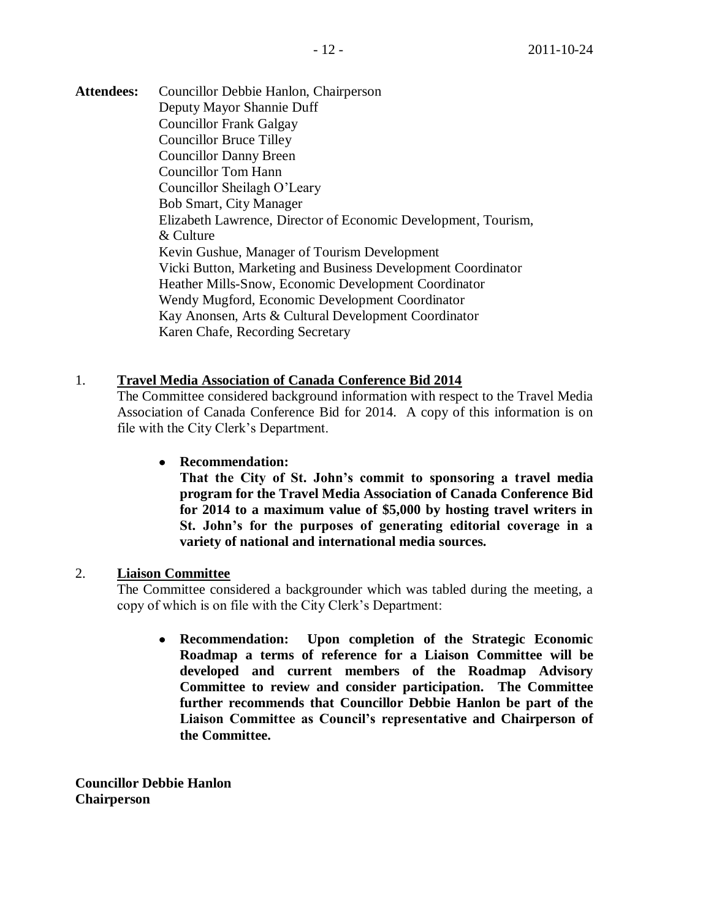**Attendees:** Councillor Debbie Hanlon, Chairperson Deputy Mayor Shannie Duff Councillor Frank Galgay Councillor Bruce Tilley Councillor Danny Breen Councillor Tom Hann Councillor Sheilagh O'Leary Bob Smart, City Manager

> Elizabeth Lawrence, Director of Economic Development, Tourism, & Culture Kevin Gushue, Manager of Tourism Development Vicki Button, Marketing and Business Development Coordinator Heather Mills-Snow, Economic Development Coordinator Wendy Mugford, Economic Development Coordinator Kay Anonsen, Arts & Cultural Development Coordinator Karen Chafe, Recording Secretary

## 1. **Travel Media Association of Canada Conference Bid 2014**

The Committee considered background information with respect to the Travel Media Association of Canada Conference Bid for 2014. A copy of this information is on file with the City Clerk's Department.

## **Recommendation:**

**That the City of St. John's commit to sponsoring a travel media program for the Travel Media Association of Canada Conference Bid for 2014 to a maximum value of \$5,000 by hosting travel writers in St. John's for the purposes of generating editorial coverage in a variety of national and international media sources.** 

## 2. **Liaison Committee**

The Committee considered a backgrounder which was tabled during the meeting, a copy of which is on file with the City Clerk's Department:

**Recommendation: Upon completion of the Strategic Economic Roadmap a terms of reference for a Liaison Committee will be developed and current members of the Roadmap Advisory Committee to review and consider participation. The Committee further recommends that Councillor Debbie Hanlon be part of the Liaison Committee as Council's representative and Chairperson of the Committee.**

**Councillor Debbie Hanlon Chairperson**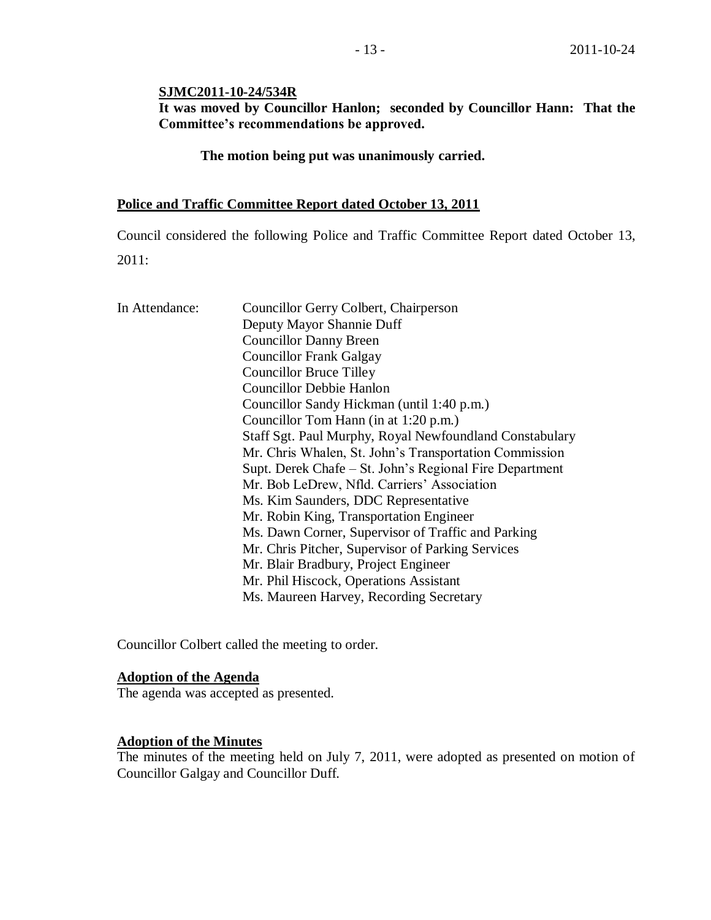## **SJMC2011-10-24/534R**

**It was moved by Councillor Hanlon; seconded by Councillor Hann: That the Committee's recommendations be approved.**

**The motion being put was unanimously carried.**

#### **Police and Traffic Committee Report dated October 13, 2011**

Council considered the following Police and Traffic Committee Report dated October 13, 2011:

| In Attendance: | Councillor Gerry Colbert, Chairperson                   |
|----------------|---------------------------------------------------------|
|                | Deputy Mayor Shannie Duff                               |
|                | <b>Councillor Danny Breen</b>                           |
|                | <b>Councillor Frank Galgay</b>                          |
|                | <b>Councillor Bruce Tilley</b>                          |
|                | <b>Councillor Debbie Hanlon</b>                         |
|                | Councillor Sandy Hickman (until 1:40 p.m.)              |
|                | Councillor Tom Hann (in at 1:20 p.m.)                   |
|                | Staff Sgt. Paul Murphy, Royal Newfoundland Constabulary |
|                | Mr. Chris Whalen, St. John's Transportation Commission  |
|                | Supt. Derek Chafe – St. John's Regional Fire Department |
|                | Mr. Bob LeDrew, Nfld. Carriers' Association             |
|                | Ms. Kim Saunders, DDC Representative                    |
|                | Mr. Robin King, Transportation Engineer                 |
|                | Ms. Dawn Corner, Supervisor of Traffic and Parking      |
|                | Mr. Chris Pitcher, Supervisor of Parking Services       |
|                | Mr. Blair Bradbury, Project Engineer                    |
|                | Mr. Phil Hiscock, Operations Assistant                  |
|                | Ms. Maureen Harvey, Recording Secretary                 |

Councillor Colbert called the meeting to order.

### **Adoption of the Agenda**

The agenda was accepted as presented.

# **Adoption of the Minutes**

The minutes of the meeting held on July 7, 2011, were adopted as presented on motion of Councillor Galgay and Councillor Duff.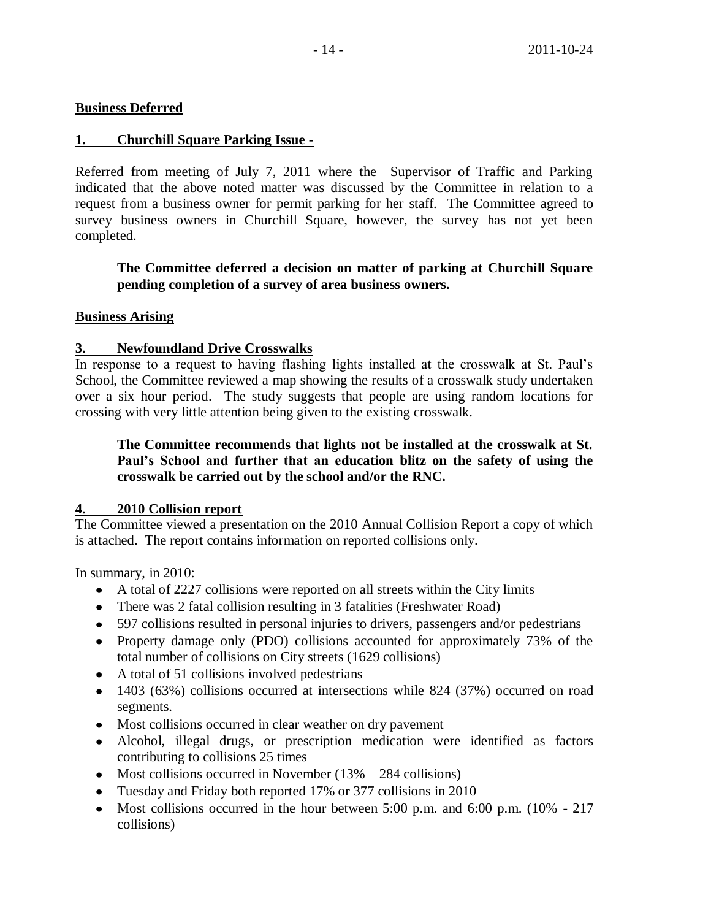## **Business Deferred**

## **1. Churchill Square Parking Issue -**

Referred from meeting of July 7, 2011 where the Supervisor of Traffic and Parking indicated that the above noted matter was discussed by the Committee in relation to a request from a business owner for permit parking for her staff. The Committee agreed to survey business owners in Churchill Square, however, the survey has not yet been completed.

**The Committee deferred a decision on matter of parking at Churchill Square pending completion of a survey of area business owners.**

## **Business Arising**

## **3. Newfoundland Drive Crosswalks**

In response to a request to having flashing lights installed at the crosswalk at St. Paul's School, the Committee reviewed a map showing the results of a crosswalk study undertaken over a six hour period. The study suggests that people are using random locations for crossing with very little attention being given to the existing crosswalk.

## **The Committee recommends that lights not be installed at the crosswalk at St. Paul's School and further that an education blitz on the safety of using the crosswalk be carried out by the school and/or the RNC.**

## **4. 2010 Collision report**

The Committee viewed a presentation on the 2010 Annual Collision Report a copy of which is attached. The report contains information on reported collisions only.

In summary, in 2010:

- A total of 2227 collisions were reported on all streets within the City limits
- There was 2 fatal collision resulting in 3 fatalities (Freshwater Road)
- 597 collisions resulted in personal injuries to drivers, passengers and/or pedestrians
- Property damage only (PDO) collisions accounted for approximately 73% of the total number of collisions on City streets (1629 collisions)
- A total of 51 collisions involved pedestrians
- 1403 (63%) collisions occurred at intersections while 824 (37%) occurred on road segments.
- Most collisions occurred in clear weather on dry pavement
- Alcohol, illegal drugs, or prescription medication were identified as factors contributing to collisions 25 times
- Most collisions occurred in November  $(13% 284$  collisions)
- Tuesday and Friday both reported 17% or 377 collisions in 2010
- Most collisions occurred in the hour between 5:00 p.m. and 6:00 p.m.  $(10\% 217)$ collisions)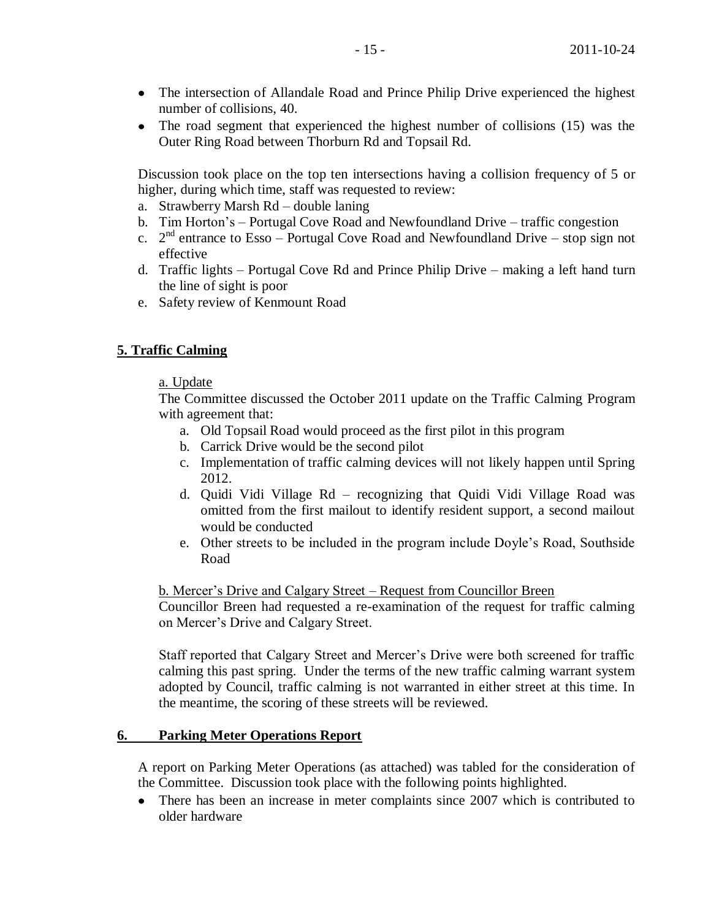- The intersection of Allandale Road and Prince Philip Drive experienced the highest  $\bullet$ number of collisions, 40.
- The road segment that experienced the highest number of collisions (15) was the Outer Ring Road between Thorburn Rd and Topsail Rd.

Discussion took place on the top ten intersections having a collision frequency of 5 or higher, during which time, staff was requested to review:

- a. Strawberry Marsh Rd double laning
- b. Tim Horton's Portugal Cove Road and Newfoundland Drive traffic congestion
- c.  $2^{nd}$  entrance to Esso Portugal Cove Road and Newfoundland Drive stop sign not effective
- d. Traffic lights Portugal Cove Rd and Prince Philip Drive making a left hand turn the line of sight is poor
- e. Safety review of Kenmount Road

#### **5. Traffic Calming**

#### a. Update

The Committee discussed the October 2011 update on the Traffic Calming Program with agreement that:

- a. Old Topsail Road would proceed as the first pilot in this program
- b. Carrick Drive would be the second pilot
- c. Implementation of traffic calming devices will not likely happen until Spring 2012.
- d. Quidi Vidi Village Rd recognizing that Quidi Vidi Village Road was omitted from the first mailout to identify resident support, a second mailout would be conducted
- e. Other streets to be included in the program include Doyle's Road, Southside Road

#### b. Mercer's Drive and Calgary Street – Request from Councillor Breen

Councillor Breen had requested a re-examination of the request for traffic calming on Mercer's Drive and Calgary Street.

Staff reported that Calgary Street and Mercer's Drive were both screened for traffic calming this past spring. Under the terms of the new traffic calming warrant system adopted by Council, traffic calming is not warranted in either street at this time. In the meantime, the scoring of these streets will be reviewed.

#### **6. Parking Meter Operations Report**

A report on Parking Meter Operations (as attached) was tabled for the consideration of the Committee. Discussion took place with the following points highlighted.

There has been an increase in meter complaints since 2007 which is contributed to older hardware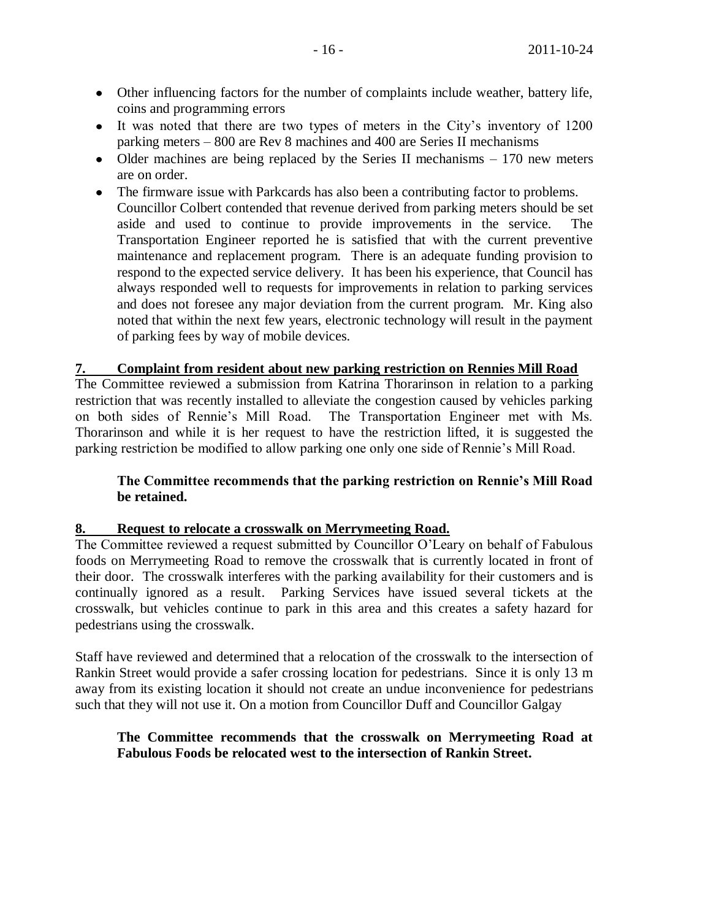- Other influencing factors for the number of complaints include weather, battery life, coins and programming errors
- It was noted that there are two types of meters in the City's inventory of 1200 parking meters – 800 are Rev 8 machines and 400 are Series II mechanisms
- Older machines are being replaced by the Series II mechanisms  $-170$  new meters are on order.
- The firmware issue with Parkcards has also been a contributing factor to problems. Councillor Colbert contended that revenue derived from parking meters should be set aside and used to continue to provide improvements in the service. The Transportation Engineer reported he is satisfied that with the current preventive maintenance and replacement program. There is an adequate funding provision to respond to the expected service delivery. It has been his experience, that Council has always responded well to requests for improvements in relation to parking services and does not foresee any major deviation from the current program. Mr. King also noted that within the next few years, electronic technology will result in the payment of parking fees by way of mobile devices.

#### **7. Complaint from resident about new parking restriction on Rennies Mill Road**

The Committee reviewed a submission from Katrina Thorarinson in relation to a parking restriction that was recently installed to alleviate the congestion caused by vehicles parking on both sides of Rennie's Mill Road. The Transportation Engineer met with Ms. Thorarinson and while it is her request to have the restriction lifted, it is suggested the parking restriction be modified to allow parking one only one side of Rennie's Mill Road.

## **The Committee recommends that the parking restriction on Rennie's Mill Road be retained.**

#### **8. Request to relocate a crosswalk on Merrymeeting Road.**

The Committee reviewed a request submitted by Councillor O'Leary on behalf of Fabulous foods on Merrymeeting Road to remove the crosswalk that is currently located in front of their door. The crosswalk interferes with the parking availability for their customers and is continually ignored as a result. Parking Services have issued several tickets at the crosswalk, but vehicles continue to park in this area and this creates a safety hazard for pedestrians using the crosswalk.

Staff have reviewed and determined that a relocation of the crosswalk to the intersection of Rankin Street would provide a safer crossing location for pedestrians. Since it is only 13 m away from its existing location it should not create an undue inconvenience for pedestrians such that they will not use it. On a motion from Councillor Duff and Councillor Galgay

## **The Committee recommends that the crosswalk on Merrymeeting Road at Fabulous Foods be relocated west to the intersection of Rankin Street.**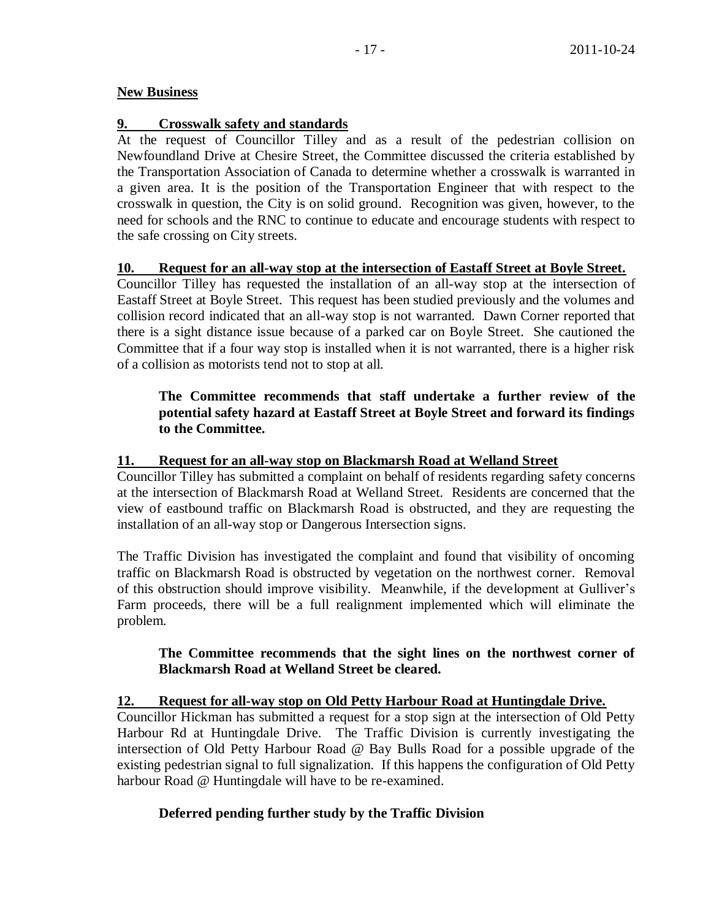## **New Business**

## **9. Crosswalk safety and standards**

At the request of Councillor Tilley and as a result of the pedestrian collision on Newfoundland Drive at Chesire Street, the Committee discussed the criteria established by the Transportation Association of Canada to determine whether a crosswalk is warranted in a given area. It is the position of the Transportation Engineer that with respect to the crosswalk in question, the City is on solid ground. Recognition was given, however, to the need for schools and the RNC to continue to educate and encourage students with respect to the safe crossing on City streets.

## **10. Request for an all-way stop at the intersection of Eastaff Street at Boyle Street.**

Councillor Tilley has requested the installation of an all-way stop at the intersection of Eastaff Street at Boyle Street. This request has been studied previously and the volumes and collision record indicated that an all-way stop is not warranted. Dawn Corner reported that there is a sight distance issue because of a parked car on Boyle Street. She cautioned the Committee that if a four way stop is installed when it is not warranted, there is a higher risk of a collision as motorists tend not to stop at all.

# **The Committee recommends that staff undertake a further review of the potential safety hazard at Eastaff Street at Boyle Street and forward its findings to the Committee.**

## **11. Request for an all-way stop on Blackmarsh Road at Welland Street**

Councillor Tilley has submitted a complaint on behalf of residents regarding safety concerns at the intersection of Blackmarsh Road at Welland Street. Residents are concerned that the view of eastbound traffic on Blackmarsh Road is obstructed, and they are requesting the installation of an all-way stop or Dangerous Intersection signs.

The Traffic Division has investigated the complaint and found that visibility of oncoming traffic on Blackmarsh Road is obstructed by vegetation on the northwest corner. Removal of this obstruction should improve visibility. Meanwhile, if the development at Gulliver's Farm proceeds, there will be a full realignment implemented which will eliminate the problem.

## **The Committee recommends that the sight lines on the northwest corner of Blackmarsh Road at Welland Street be cleared.**

## **12. Request for all-way stop on Old Petty Harbour Road at Huntingdale Drive.**

Councillor Hickman has submitted a request for a stop sign at the intersection of Old Petty Harbour Rd at Huntingdale Drive. The Traffic Division is currently investigating the intersection of Old Petty Harbour Road @ Bay Bulls Road for a possible upgrade of the existing pedestrian signal to full signalization. If this happens the configuration of Old Petty harbour Road @ Huntingdale will have to be re-examined.

# **Deferred pending further study by the Traffic Division**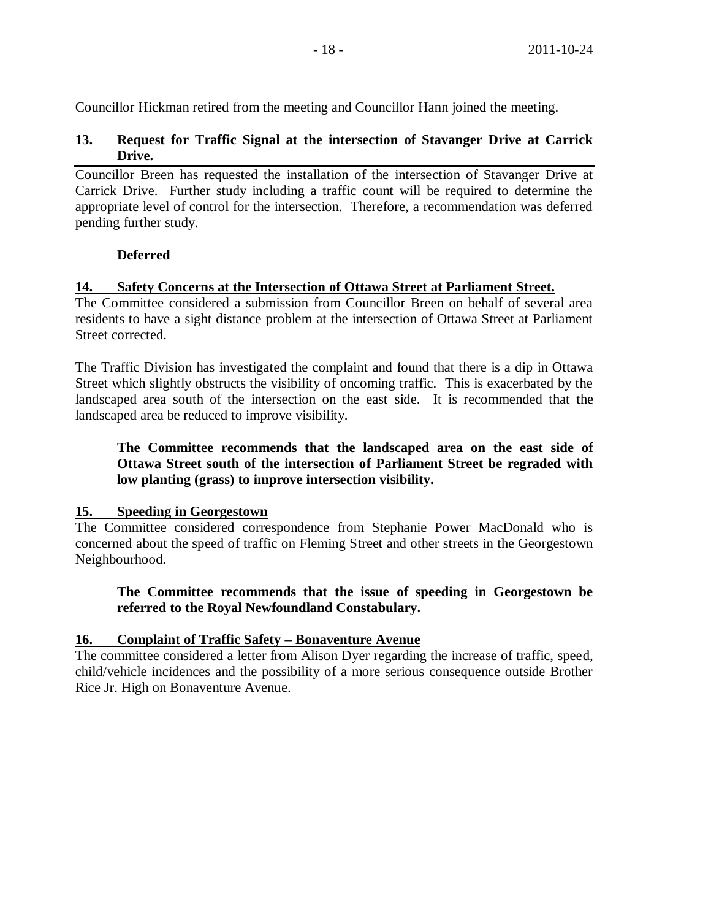Councillor Hickman retired from the meeting and Councillor Hann joined the meeting.

## **13. Request for Traffic Signal at the intersection of Stavanger Drive at Carrick Drive.**

Councillor Breen has requested the installation of the intersection of Stavanger Drive at Carrick Drive. Further study including a traffic count will be required to determine the appropriate level of control for the intersection. Therefore, a recommendation was deferred pending further study.

## **Deferred**

## **14. Safety Concerns at the Intersection of Ottawa Street at Parliament Street.**

The Committee considered a submission from Councillor Breen on behalf of several area residents to have a sight distance problem at the intersection of Ottawa Street at Parliament Street corrected.

The Traffic Division has investigated the complaint and found that there is a dip in Ottawa Street which slightly obstructs the visibility of oncoming traffic. This is exacerbated by the landscaped area south of the intersection on the east side. It is recommended that the landscaped area be reduced to improve visibility.

**The Committee recommends that the landscaped area on the east side of Ottawa Street south of the intersection of Parliament Street be regraded with low planting (grass) to improve intersection visibility.**

## **15. Speeding in Georgestown**

The Committee considered correspondence from Stephanie Power MacDonald who is concerned about the speed of traffic on Fleming Street and other streets in the Georgestown Neighbourhood.

**The Committee recommends that the issue of speeding in Georgestown be referred to the Royal Newfoundland Constabulary.**

# **16. Complaint of Traffic Safety – Bonaventure Avenue**

The committee considered a letter from Alison Dyer regarding the increase of traffic, speed, child/vehicle incidences and the possibility of a more serious consequence outside Brother Rice Jr. High on Bonaventure Avenue.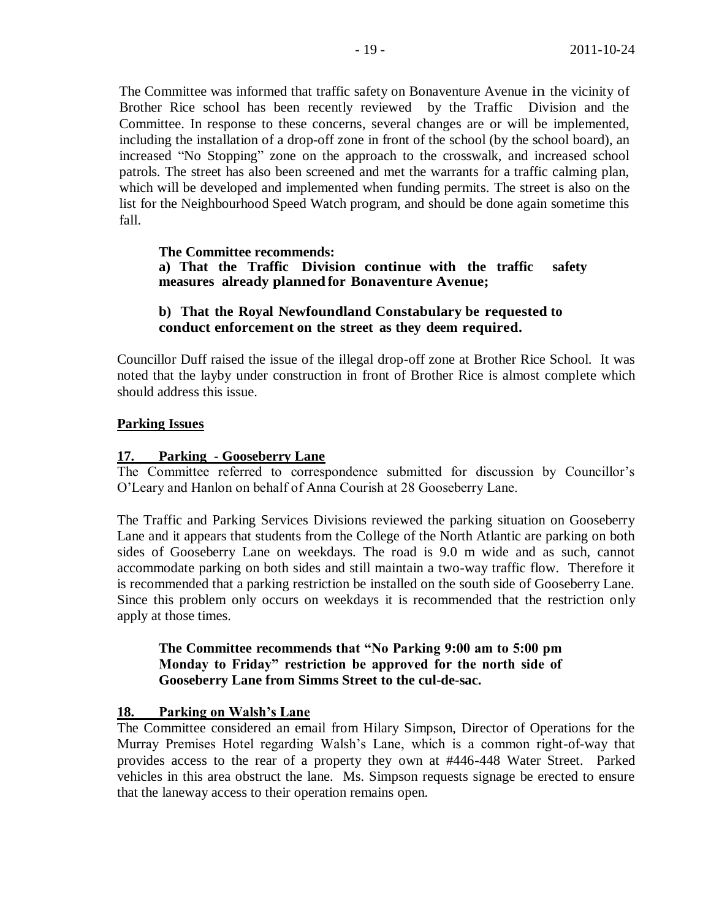The Committee was informed that traffic safety on Bonaventure Avenue in the vicinity of Brother Rice school has been recently reviewed by the Traffic Division and the Committee. In response to these concerns, several changes are or will be implemented, including the installation of a drop-off zone in front of the school (by the school board), an increased "No Stopping" zone on the approach to the crosswalk, and increased school patrols. The street has also been screened and met the warrants for a traffic calming plan, which will be developed and implemented when funding permits. The street is also on the list for the Neighbourhood Speed Watch program, and should be done again sometime this fall.

#### **The Committee recommends: a) That the Traffic Division continue with the traffic safety measures already planned for Bonaventure Avenue;**

## **b) That the Royal Newfoundland Constabulary be requested to conduct enforcement on the street as they deem required.**

Councillor Duff raised the issue of the illegal drop-off zone at Brother Rice School. It was noted that the layby under construction in front of Brother Rice is almost complete which should address this issue.

## **Parking Issues**

#### **17. Parking - Gooseberry Lane**

The Committee referred to correspondence submitted for discussion by Councillor's O'Leary and Hanlon on behalf of Anna Courish at 28 Gooseberry Lane.

The Traffic and Parking Services Divisions reviewed the parking situation on Gooseberry Lane and it appears that students from the College of the North Atlantic are parking on both sides of Gooseberry Lane on weekdays. The road is 9.0 m wide and as such, cannot accommodate parking on both sides and still maintain a two-way traffic flow. Therefore it is recommended that a parking restriction be installed on the south side of Gooseberry Lane. Since this problem only occurs on weekdays it is recommended that the restriction only apply at those times.

## **The Committee recommends that "No Parking 9:00 am to 5:00 pm Monday to Friday" restriction be approved for the north side of Gooseberry Lane from Simms Street to the cul-de-sac.**

## **18. Parking on Walsh's Lane**

The Committee considered an email from Hilary Simpson, Director of Operations for the Murray Premises Hotel regarding Walsh's Lane, which is a common right-of-way that provides access to the rear of a property they own at #446-448 Water Street. Parked vehicles in this area obstruct the lane. Ms. Simpson requests signage be erected to ensure that the laneway access to their operation remains open.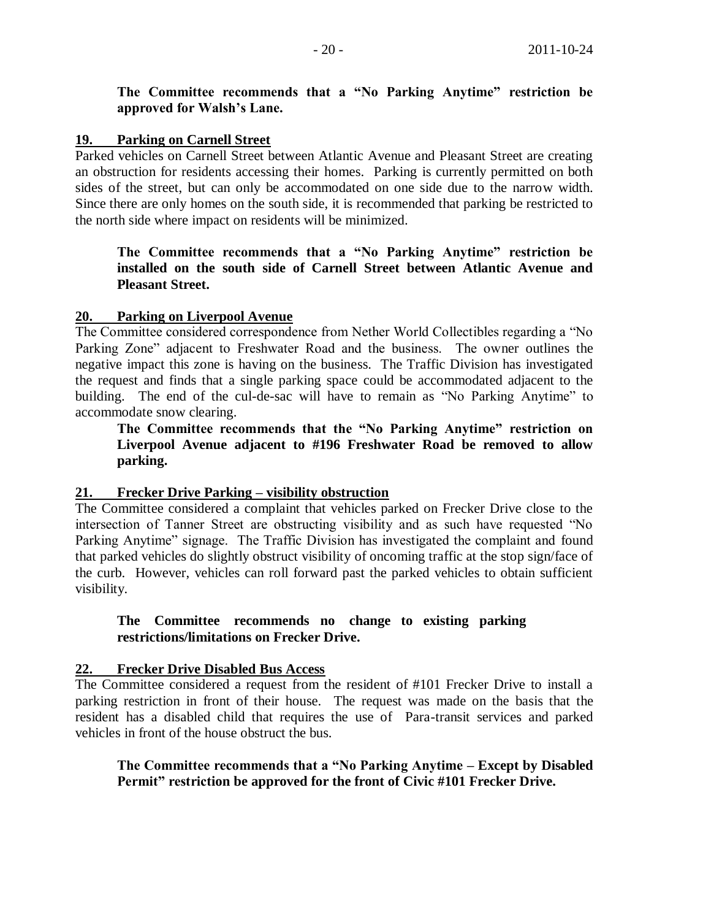**The Committee recommends that a "No Parking Anytime" restriction be approved for Walsh's Lane.**

## **19. Parking on Carnell Street**

Parked vehicles on Carnell Street between Atlantic Avenue and Pleasant Street are creating an obstruction for residents accessing their homes. Parking is currently permitted on both sides of the street, but can only be accommodated on one side due to the narrow width. Since there are only homes on the south side, it is recommended that parking be restricted to the north side where impact on residents will be minimized.

**The Committee recommends that a "No Parking Anytime" restriction be installed on the south side of Carnell Street between Atlantic Avenue and Pleasant Street.**

## **20. Parking on Liverpool Avenue**

The Committee considered correspondence from Nether World Collectibles regarding a "No Parking Zone" adjacent to Freshwater Road and the business. The owner outlines the negative impact this zone is having on the business. The Traffic Division has investigated the request and finds that a single parking space could be accommodated adjacent to the building. The end of the cul-de-sac will have to remain as "No Parking Anytime" to accommodate snow clearing.

**The Committee recommends that the "No Parking Anytime" restriction on Liverpool Avenue adjacent to #196 Freshwater Road be removed to allow parking.**

# **21. Frecker Drive Parking – visibility obstruction**

The Committee considered a complaint that vehicles parked on Frecker Drive close to the intersection of Tanner Street are obstructing visibility and as such have requested "No Parking Anytime" signage. The Traffic Division has investigated the complaint and found that parked vehicles do slightly obstruct visibility of oncoming traffic at the stop sign/face of the curb. However, vehicles can roll forward past the parked vehicles to obtain sufficient visibility.

## **The Committee recommends no change to existing parking restrictions/limitations on Frecker Drive.**

## **22. Frecker Drive Disabled Bus Access**

The Committee considered a request from the resident of #101 Frecker Drive to install a parking restriction in front of their house. The request was made on the basis that the resident has a disabled child that requires the use of Para-transit services and parked vehicles in front of the house obstruct the bus.

**The Committee recommends that a "No Parking Anytime – Except by Disabled Permit" restriction be approved for the front of Civic #101 Frecker Drive.**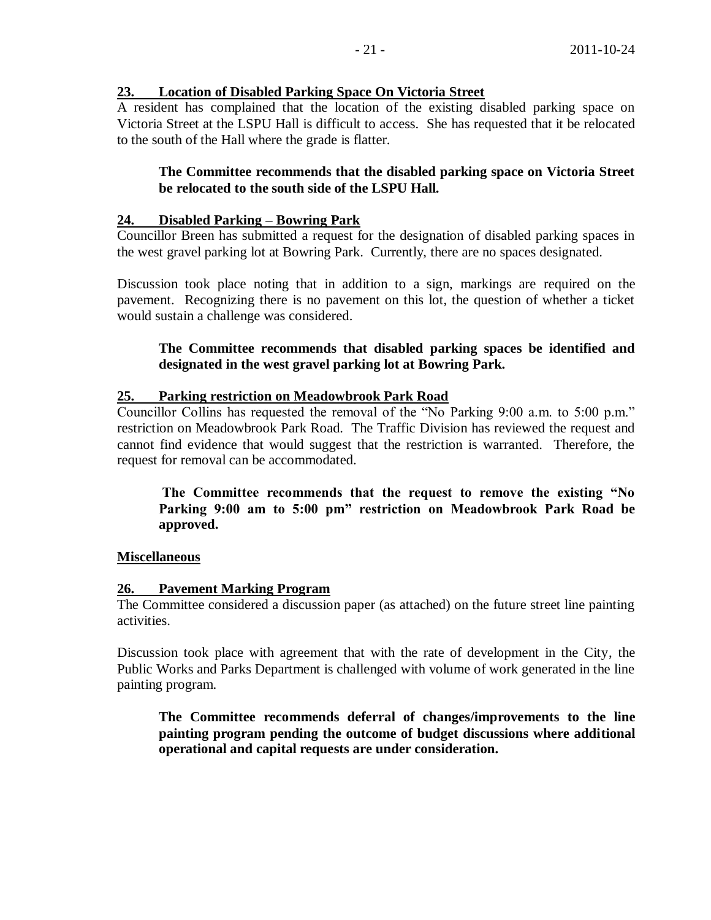## **23. Location of Disabled Parking Space On Victoria Street**

A resident has complained that the location of the existing disabled parking space on Victoria Street at the LSPU Hall is difficult to access. She has requested that it be relocated to the south of the Hall where the grade is flatter.

## **The Committee recommends that the disabled parking space on Victoria Street be relocated to the south side of the LSPU Hall.**

## **24. Disabled Parking – Bowring Park**

Councillor Breen has submitted a request for the designation of disabled parking spaces in the west gravel parking lot at Bowring Park. Currently, there are no spaces designated.

Discussion took place noting that in addition to a sign, markings are required on the pavement. Recognizing there is no pavement on this lot, the question of whether a ticket would sustain a challenge was considered.

## **The Committee recommends that disabled parking spaces be identified and designated in the west gravel parking lot at Bowring Park.**

## **25. Parking restriction on Meadowbrook Park Road**

Councillor Collins has requested the removal of the "No Parking 9:00 a.m. to 5:00 p.m." restriction on Meadowbrook Park Road. The Traffic Division has reviewed the request and cannot find evidence that would suggest that the restriction is warranted. Therefore, the request for removal can be accommodated.

**The Committee recommends that the request to remove the existing "No Parking 9:00 am to 5:00 pm" restriction on Meadowbrook Park Road be approved.**

## **Miscellaneous**

#### **26. Pavement Marking Program**

The Committee considered a discussion paper (as attached) on the future street line painting activities.

Discussion took place with agreement that with the rate of development in the City, the Public Works and Parks Department is challenged with volume of work generated in the line painting program.

**The Committee recommends deferral of changes/improvements to the line painting program pending the outcome of budget discussions where additional operational and capital requests are under consideration.**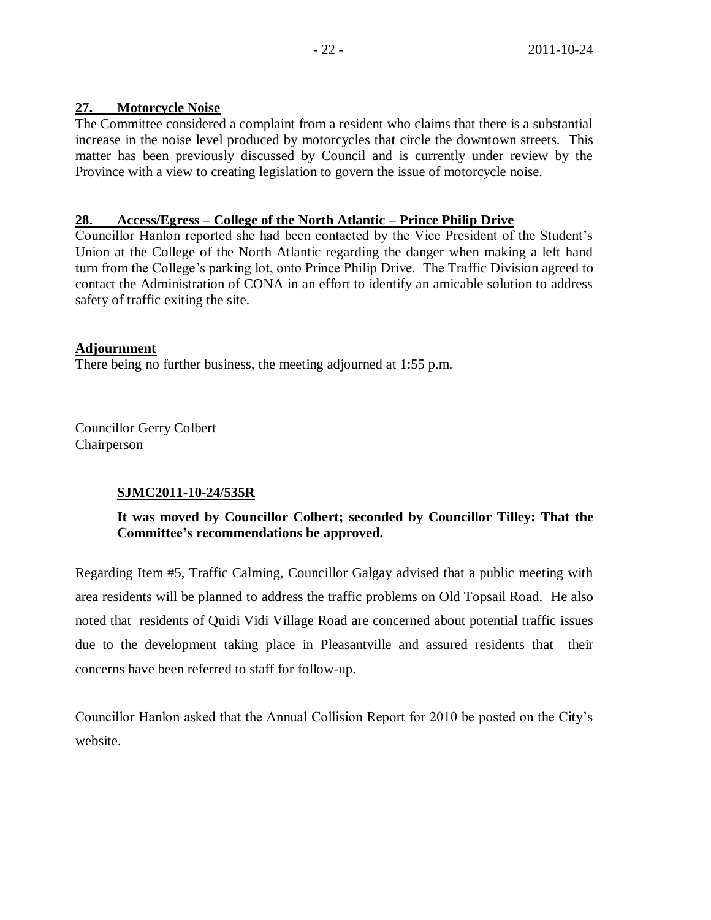# **27. Motorcycle Noise**

The Committee considered a complaint from a resident who claims that there is a substantial increase in the noise level produced by motorcycles that circle the downtown streets. This matter has been previously discussed by Council and is currently under review by the Province with a view to creating legislation to govern the issue of motorcycle noise.

# **28. Access/Egress – College of the North Atlantic – Prince Philip Drive**

Councillor Hanlon reported she had been contacted by the Vice President of the Student's Union at the College of the North Atlantic regarding the danger when making a left hand turn from the College's parking lot, onto Prince Philip Drive. The Traffic Division agreed to contact the Administration of CONA in an effort to identify an amicable solution to address safety of traffic exiting the site.

# **Adjournment**

There being no further business, the meeting adjourned at 1:55 p.m.

Councillor Gerry Colbert Chairperson

# **SJMC2011-10-24/535R**

# **It was moved by Councillor Colbert; seconded by Councillor Tilley: That the Committee's recommendations be approved.**

Regarding Item #5, Traffic Calming, Councillor Galgay advised that a public meeting with area residents will be planned to address the traffic problems on Old Topsail Road. He also noted that residents of Quidi Vidi Village Road are concerned about potential traffic issues due to the development taking place in Pleasantville and assured residents that their concerns have been referred to staff for follow-up.

Councillor Hanlon asked that the Annual Collision Report for 2010 be posted on the City's website.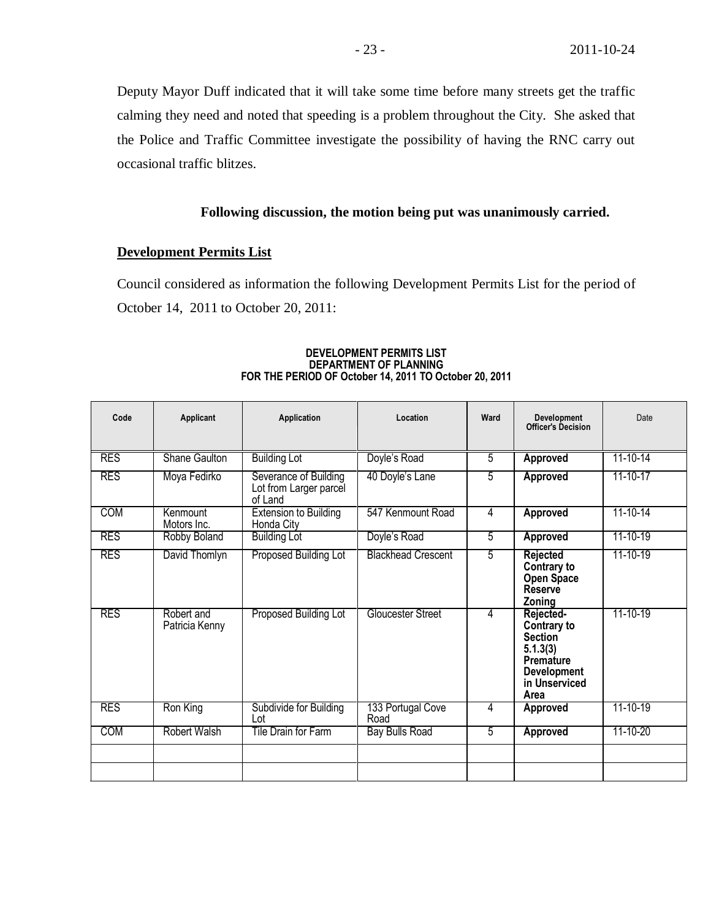Deputy Mayor Duff indicated that it will take some time before many streets get the traffic calming they need and noted that speeding is a problem throughout the City. She asked that the Police and Traffic Committee investigate the possibility of having the RNC carry out occasional traffic blitzes.

## **Following discussion, the motion being put was unanimously carried.**

#### **Development Permits List**

Council considered as information the following Development Permits List for the period of October 14, 2011 to October 20, 2011:

| Code       | <b>Applicant</b>             | Application                                                | Location                  | Ward | <b>Development</b><br>Officer's Decision                                                                                  | Date           |
|------------|------------------------------|------------------------------------------------------------|---------------------------|------|---------------------------------------------------------------------------------------------------------------------------|----------------|
| <b>RES</b> | Shane Gaulton                | <b>Building Lot</b>                                        | Doyle's Road              | 5    | Approved                                                                                                                  | $11 - 10 - 14$ |
| <b>RES</b> | Moya Fedirko                 | Severance of Building<br>Lot from Larger parcel<br>of Land | 40 Doyle's Lane           | 5    | Approved                                                                                                                  | 11-10-17       |
| <b>COM</b> | Kenmount<br>Motors Inc.      | <b>Extension to Building</b><br>Honda Citv                 | 547 Kenmount Road         | 4    | <b>Approved</b>                                                                                                           | $11 - 10 - 14$ |
| <b>RES</b> | Robby Boland                 | <b>Building Lot</b>                                        | Doyle's Road              | 5    | Approved                                                                                                                  | $11 - 10 - 19$ |
| <b>RES</b> | David Thomlyn                | Proposed Building Lot                                      | <b>Blackhead Crescent</b> | 5    | Rejected<br>Contrary to<br><b>Open Space</b><br><b>Reserve</b><br>Zoning                                                  | 11-10-19       |
| <b>RES</b> | Robert and<br>Patricia Kenny | Proposed Building Lot                                      | Gloucester Street         | 4    | Rejected-<br>Contrary to<br><b>Section</b><br>5.1.3(3)<br><b>Premature</b><br><b>Development</b><br>in Unserviced<br>Area | 11-10-19       |
| <b>RES</b> | Ron King                     | Subdivide for Building<br>Lot                              | 133 Portugal Cove<br>Road | 4    | <b>Approved</b>                                                                                                           | $11 - 10 - 19$ |
| COM        | Robert Walsh                 | Tile Drain for Farm                                        | <b>Bay Bulls Road</b>     | 5    | <b>Approved</b>                                                                                                           | 11-10-20       |
|            |                              |                                                            |                           |      |                                                                                                                           |                |

#### **DEVELOPMENT PERMITS LIST DEPARTMENT OF PLANNING FOR THE PERIOD OF October 14, 2011 TO October 20, 2011**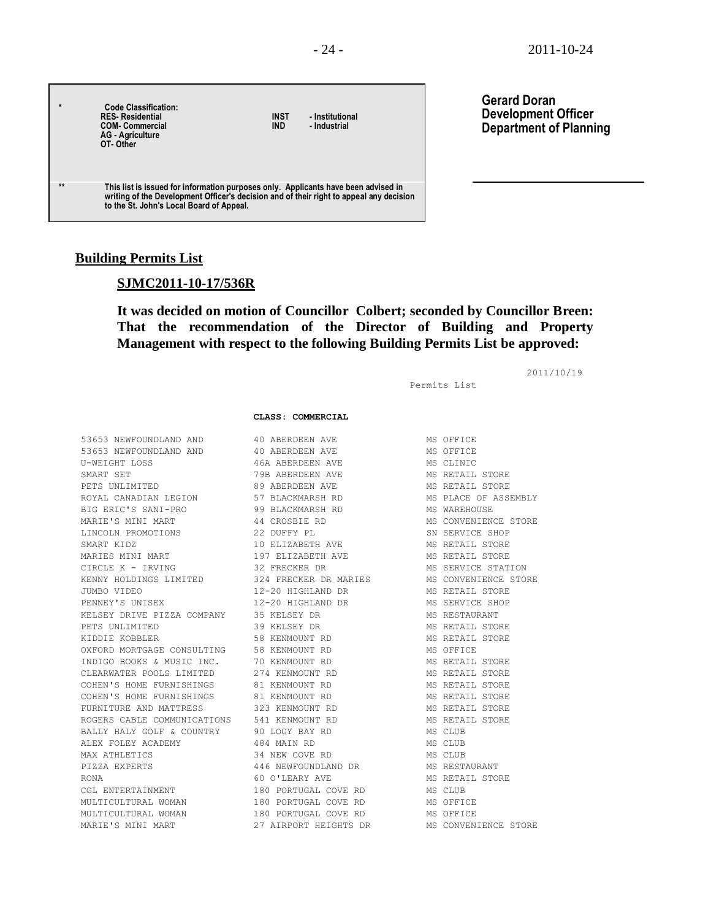| $\star$ | <b>Code Classification:</b><br><b>RES-Residential</b><br><b>COM- Commercial</b><br><b>AG</b> - Agriculture<br>OT-Other                                                                                                    | INST<br><b>IND</b> | - Institutional<br>- Industrial |
|---------|---------------------------------------------------------------------------------------------------------------------------------------------------------------------------------------------------------------------------|--------------------|---------------------------------|
| $**$    | This list is issued for information purposes only. Applicants have been advised in<br>writing of the Development Officer's decision and of their right to appeal any decision<br>to the St. John's Local Board of Appeal. |                    |                                 |

#### **Gerard Doran Development Officer Department of Planning**

#### **Building Permits List**

#### **SJMC2011-10-17/536R**

## **It was decided on motion of Councillor Colbert; seconded by Councillor Breen: That the recommendation of the Director of Building and Property Management with respect to the following Building Permits List be approved:**

2011/10/19

Permits List

#### **CLASS: COMMERCIAL**

53653 NEWFOUNDLAND AND 40 ABERDEEN AVE MS OFFICE 53653 NEWFOUNDLAND AND 40 ABERDEEN AVE MS OFFICE U-WEIGHT LOSS 46A ABERDEEN AVE MS CLINIC SMART SET 79B ABERDEEN AVE MS RETAIL STORE PETS UNLIMITED **89 ABERDEEN AVE MS RETAIL STORE** ROYAL CANADIAN LEGION 57 BLACKMARSH RD MS PLACE OF ASSEMBLY BIG ERIC'S SANI-PRO 99 BLACKMARSH RD MS WAREHOUSE MARIE'S MINI MART 44 CROSBIE RD MS CONVENIENCE STORE LINCOLN PROMOTIONS 22 DUFFY PL SN SERVICE SHOP SMART KIDZ 10 ELIZABETH AVE MS RETAIL STORE MARIES MINI MART 197 ELIZABETH AVE MS RETAIL STORE CIRCLE K - IRVING 32 FRECKER DR MS SERVICE STATION KENNY HOLDINGS LIMITED 324 FRECKER DR MARIES MS CONVENIENCE STORE JUMBO VIDEO 12-20 HIGHLAND DR MS RETAIL STORE PENNEY'S UNISEX 12-20 HIGHLAND DR MS SERVICE SHOP KELSEY DRIVE PIZZA COMPANY 35 KELSEY DR MS RESTAURANT PETS UNLIMITED **39 KELSEY DR** MS RETAIL STORE KIDDIE KOBBLER 1988 SOM HET SOMET ALLEE SOMET HET STORE AND THE STORE STORE STORE OXFORD MORTGAGE CONSULTING 58 KENMOUNT RD 60 MS OFFICE INDIGO BOOKS & MUSIC INC. 70 KENMOUNT RD MS RETAIL STORE CLEARWATER POOLS LIMITED 274 KENMOUNT RD MS RETAIL STORE COHEN'S HOME FURNISHINGS 81 KENMOUNT RD MS RETAIL STORE COHEN'S HOME FURNISHINGS 81 KENMOUNT RD MS RETAIL STORE FURNITURE AND MATTRESS 323 KENMOUNT RD MS RETAIL STORE ROGERS CABLE COMMUNICATIONS 541 KENMOUNT RD BALLY HALY GOLF & COUNTRY 90 LOGY BAY RD MS CLUB ALEX FOLEY ACADEMY 484 MAIN RD MS CLUB MAX ATHLETICS 6 134 NEW COVE RD 6 19 MS CLUB PIZZA EXPERTS 446 NEWFOUNDLAND DR MS RESTAURANT RONA 60 O'LEARY AVE MS RETAIL STORE CGL ENTERTAINMENT 180 PORTUGAL COVE RD MS CLUB MULTICULTURAL WOMAN 180 PORTUGAL COVE RD MS OFFICE MULTICULTURAL WOMAN 180 PORTUGAL COVE RD MS OFFICE MARIE'S MINI MART 27 AIRPORT HEIGHTS DR MS CONVENIENCE STORE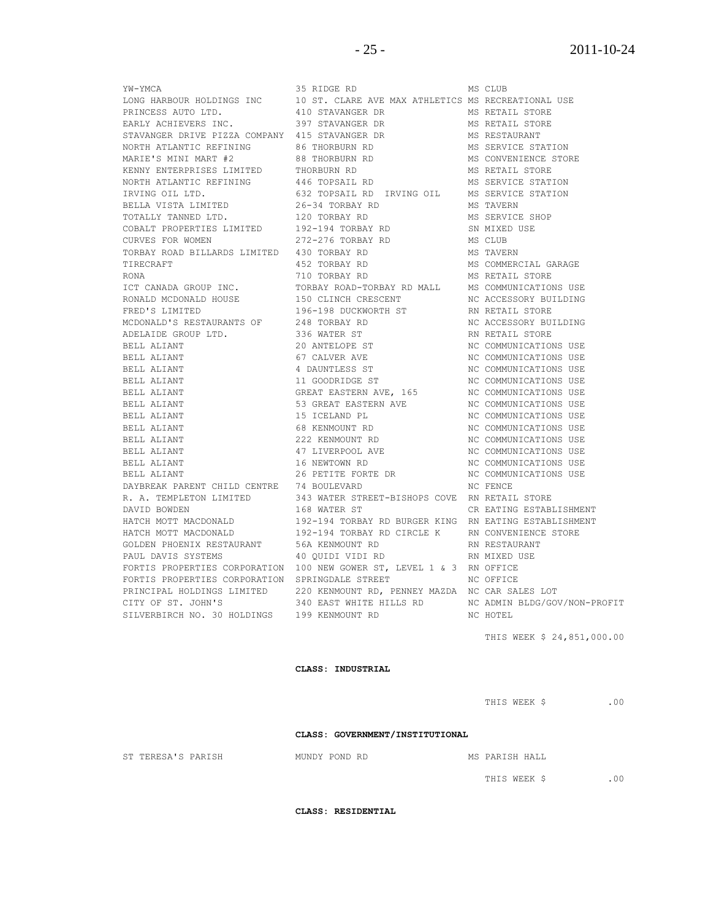SILVERBIRCH NO. 30 HOLDINGS 199 KENMOUNT RD NC HOTEL

YW-YMCA 35 RIDGE RD MS CLUB LONG HARBOUR HOLDINGS INC 10 ST. CLARE AVE MAX ATHLETICS MS RECREATIONAL USE PRINCESS AUTO LTD. 410 STAVANGER DR MS RETAIL STORE EARLY ACHIEVERS INC. 397 STAVANGER DR MS RETAIL STORE STAVANGER DRIVE PIZZA COMPANY 415 STAVANGER DR MS RESTAURANT NORTH ATLANTIC REFINING 86 THORBURN RD MS SERVICE STATION MARIE'S MINI MART #2 88 THORBURN RD MS CONVENIENCE STORE KENNY ENTERPRISES LIMITED THORBURN RD **METALL STORE** NORTH ATLANTIC REFINING  $\begin{array}{ccc} 446 & \text{TOPSAIL} & \text{RD} \end{array}$  and  $\begin{array}{ccc} \text{MS} & \text{SERVICE} & \text{STATION} \end{array}$ IRVING OIL LTD. 632 TOPSAIL RD IRVING OIL MS SERVICE STATION BELLA VISTA LIMITED 26-34 TORBAY RD MS TAVERN TOTALLY TANNED LTD. 120 TORBAY RD MS SERVICE SHOP COBALT PROPERTIES LIMITED 192-194 TORBAY RD SN MIXED USE CURVES FOR WOMEN 272-276 TORBAY RD MS CLUB TORBAY ROAD BILLARDS LIMITED 430 TORBAY RD MS TAVERN TIRECRAFT 452 TORBAY RD MS COMMERCIAL GARAGE RONA 710 TORBAY RD MS RETAIL STORE ICT CANADA GROUP INC. TORBAY ROAD-TORBAY RD MALL MS COMMUNICATIONS USE<br>RONALD MCDONALD HOUSE 150 CLINCH CRESCENT NO ACCESSORY BUILDING RONALD MCDONALD HOUSE 150 CLINCH CRESCENT NO ACCESSORY BUILDING FRED'S LIMITED 196-198 DUCKWORTH ST RN RETAIL STORE MCDONALD'S RESTAURANTS OF 248 TORBAY RD NE ACCESSORY BUILDING ADELAIDE GROUP LTD. 336 WATER ST RN RETAIL STORE BELL ALIANT 20 ANTELOPE ST NC COMMUNICATIONS USE BELL ALIANT 67 CALVER AVE NC COMMUNICATIONS USE BELL ALIANT 4 DAUNTLESS ST 30 NO COMMUNICATIONS USE BELL ALIANT **11 GOODRIDGE ST** NC COMMUNICATIONS USE BELL ALIANT **EXECUTE:** GREAT EASTERN AVE, 165 NC COMMUNICATIONS USE BELL ALIANT 53 GREAT EASTERN AVE NC COMMUNICATIONS USE BELL ALIANT 15 ICELAND PL NC COMMUNICATIONS USE BELL ALIANT 68 KENMOUNT RD NC COMMUNICATIONS USE BELL ALIANT 222 KENMOUNT RD NC COMMUNICATIONS USE BELL ALIANT 47 LIVERPOOL AVE NC COMMUNICATIONS USE BELL ALIANT 16 NEWTOWN RD 18 NO COMMUNICATIONS USE BELL ALIANT 26 PETITE FORTE DR NC COMMUNICATIONS USE DAYBREAK PARENT CHILD CENTRE 74 BOULEVARD NO FENCE R. A. TEMPLETON LIMITED 343 WATER STREET-BISHOPS COVE RN RETAIL STORE DAVID BOWDEN 168 WATER ST CR EATING ESTABLISHMENT HATCH MOTT MACDONALD 192-194 TORBAY RD BURGER KING RN EATING ESTABLISHMENT<br>HATCH MOTT MACDONALD 192-194 TORBAY RD CIRCLE K RN CONVENIENCE STORE 192-194 TORBAY RD CIRCLE K RN CONVENIENCE STORE<br>56A KENMOUNT RD RN RESTAURANT GOLDEN PHOENIX RESTAURANT 56A KENMOUNT RD RN RESTAURANT PAUL DAVIS SYSTEMS 40 QUIDI VIDI RD RN MIXED USE FORTIS PROPERTIES CORPORATION 100 NEW GOWER ST, LEVEL 1 & 3 RN OFFICE FORTIS PROPERTIES CORPORATION SPRINGDALE STREET NO OFFICE PRINCIPAL HOLDINGS LIMITED 220 KENMOUNT RD, PENNEY MAZDA NC CAR SALES LOT CITY OF ST. JOHN'S 340 EAST WHITE HILLS RD NC ADMIN BLDG/GOV/NON-PROFIT

THIS WEEK \$ 24,851,000.00

#### **CLASS: INDUSTRIAL**

THIS WEEK \$ .00

CLASS: GOVERNMENT/INSTITUTIONAL

ST TERESA'S PARISH **MUNDY POND RD** MS PARISH HALL

THIS WEEK \$ .00

**CLASS: RESIDENTIAL**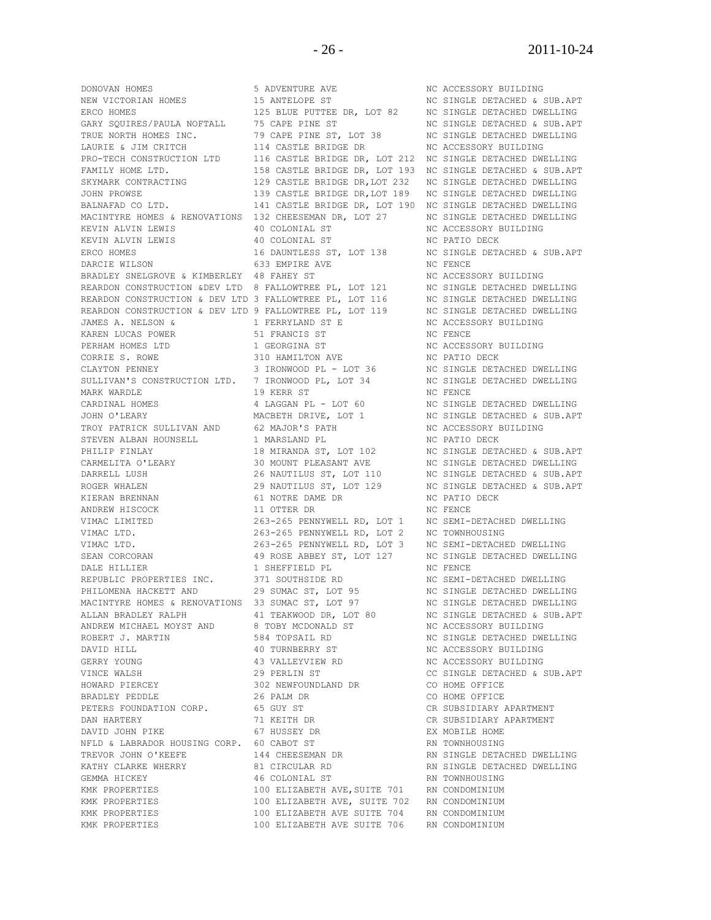ERCO HOMES 125 BLUE PUTTEE DR, LOT 82 NC SINGLE DETACHED DWELLING<br>GARY SQUIRES/PAULA NOFTALL 75 CAPE PINE ST NE SINGLE DETACHED & SUB.APT GARY SQUIRES/PAULA NOFTALL 75 CAPE PINE ST NO SINGLE DETACHED & SUB.APT TRUE NORTH HOMES INC.  $79$  CAPE PINE ST, LOT 38 NC SINGLE DETACHED DWELLING LAURIE & JIM CRITCH 114 CASTLE BRIDGE DR NC ACCESSORY BUILDING PRO-TECH CONSTRUCTION LTD 116 CASTLE BRIDGE DR, LOT 212 NC SINGLE DETACHED DWELLING FAMILY HOME LTD. 158 CASTLE BRIDGE DR, LOT 193 NC SINGLE DETACHED & SUB.APT SKYMARK CONTRACTING 129 CASTLE BRIDGE DR,LOT 232 NC SINGLE DETACHED DWELLING JOHN PROWSE 139 CASTLE BRIDGE DR,LOT 189 NC SINGLE DETACHED DWELLING BALNAFAD CO LTD. 141 CASTLE BRIDGE DR, LOT 190 NC SINGLE DETACHED DWELLING MACINTYRE HOMES & RENOVATIONS 132 CHEESEMAN DR, LOT 27 NC SINGLE DETACHED DWELLING KEVIN ALVIN LEWIS 40 COLONIAL ST NC ACCESSORY BUILDING KEVIN ALVIN LEWIS 40 COLONIAL ST NC PATIO DECK ERCO HOMES<br>ERCO HOMES 16 DAUNTLESS ST, LOT 138 NC SINGLE DETACHED & SUB.APT DARCIE WILSON 633 EMPIRE AVE NO FENCE BRADLEY SNELGROVE & KIMBERLEY 48 FAHEY ST NE NO ACCESSORY BUILDING REARDON CONSTRUCTION &DEV LTD 8 FALLOWTREE PL, LOT 121 NC SINGLE DETACHED DWELLING REARDON CONSTRUCTION & DEV LTD 3 FALLOWTREE PL, LOT 116 NC SINGLE DETACHED DWELLING REARDON CONSTRUCTION & DEV LTD 9 FALLOWTREE PL, LOT 119 NC SINGLE DETACHED DWELLING JAMES A. NELSON & 1 FERRYLAND ST E NC ACCESSORY BUILDING KAREN LUCAS POWER 51 FRANCIS ST NC FENCE PERHAM HOMES LTD 1 GEORGINA ST NC ACCESSORY BUILDING CORRIE S. ROWE 310 HAMILTON AVE NC PATIO DECK CONNEY THE SERVICE OF SUBSECTION CONSIDERED AND THE SERVICE OF SAMPLE AND THE SERVICE OF SAMPLE OF SAMPLE AND STRICT ON THE SAMPLE OF SAMPLE AND STRICT ON STRICT ON THE SAMPLE OF SAMPLE AND STRICT ON THE SAMPLE OF SAMPLE A SULLIVAN'S CONSTRUCTION LTD. 7 IRONWOOD PL, LOT 34 NC SINGLE DETACHED DWELLING MARK WARDLE 19 KERR ST NC FENCE CARDINAL HOMES 4 LAGGAN PL - LOT 60 NC SINGLE DETACHED DWELLING<br>
JOHN O'LEARY MACBETH DRIVE, LOT 1 NC SINGLE DETACHED & SUB.AP' JOHN O'LEARY **MACBETH DRIVE, LOT 1** NO SINGLE DETACHED & SUB.APT TROY PATRICK SULLIVAN AND 62 MAJOR'S PATH NC ACCESSORY BUILDING STEVEN ALBAN HOUNSELL **1 MARSLAND PL** NC PATIO DECK PHILIP FINLAY 18 MIRANDA ST, LOT 102 NC SINGLE DETACHED & SUB.APT CARMELITA O'LEARY **30 MOUNT PLEASANT AVE NO SINGLE DETACHED DWELLING** DARRELL LUSH 26 NAUTILUS ST, LOT 110 NC SINGLE DETACHED & SUB.APT ROGER WHALEN 29 NAUTILUS ST, LOT 129 NC SINGLE DETACHED & SUB.APT KIERAN BRENNAN 61 NOTRE DAME DR NC PATIO DECK ANDREW HISCOCK 11 OTTER DR NC FENCE VIMAC LIMITED 263-265 PENNYWELL RD, LOT 1 NC SEMI-DETACHED DWELLING VIMAC LTD. 263-265 PENNYWELL RD, LOT 2 NC TOWNHOUSING VIMAC LTD. 263-265 PENNYWELL RD, LOT 3 NC SEMI-DETACHED DWELLING SEAN CORCORAN **49 ROSE ABBEY ST, LOT 127** NC SINGLE DETACHED DWELLING DALE HILLIER 1 SHEFFIELD PL 1 NC FENCE REPUBLIC PROPERTIES INC. 371 SOUTHSIDE RD NC SEMI-DETACHED DWELLING REPUBLIC FROPERIIES INC.<br>PHILOMENA HACKETT AND 29 SUMAC ST, LOT 95 NC SINGLE DETACHED DWELLING MACINTYRE HOMES & RENOVATIONS 33 SUMAC ST, LOT 97 NC SINGLE DETACHED DWELLING MACINTYRE HOMES & RENOVATIONS 33 SOFIAL BIT IS A RESOLUTION AND MOST DETACHED & SUB.APT ALLAN BRADLEY RALPH  $41$  TEAKWOOD DR, LOT 80 NC SINGLE DETACHED & SUB.APT ANDREW MICHAEL MOYST AND <br>
ROBERT J. MARTIN 584 TOPSAIL RD NC SINGLE DETACHED DWI DAVID HILL 40 TURNBERRY ST NC ACCESSORY BUILDING GERRY YOUNG **43 VALLEYVIEW RD** NC ACCESSORY BUILDING VINCE WALSH 29 PERLIN ST CC SINGLE DETACHED & SUB.APT HOWARD PIERCEY 302 NEWFOUNDLAND DR CO HOME OFFICE BRADLEY PEDDLE 26 PALM DR 2000 CO HOME OFFICE PETERS FOUNDATION CORP. 65 GUY ST CR SUBSIDIARY APARTMENT DAN HARTERY 71 KEITH DR CR SUBSIDIARY APARTMENT DAVID JOHN PIKE 67 HUSSEY DR EX MOBILE HOME NFLD & LABRADOR HOUSING CORP. 60 CABOT ST RN TOWNHOUSING TREVOR JOHN O'KEEFE 144 CHEESEMAN DR RN SINGLE DETACHED DWELLING KATHY CLARKE WHERRY **81 CIRCULAR RD** RN SINGLE DETACHED DWELLING GEMMA HICKEY 46 COLONIAL ST RN TOWNHOUSING KMK PROPERTIES 100 ELIZABETH AVE, SUITE 701 RN CONDOMINIUM KMK PROPERTIES 100 ELIZABETH AVE, SUITE 702 RN CONDOMINIUM

DONOVAN HOMES 5 ADVENTURE AVE NC ACCESSORY BUILDING NEW VICTORIAN HOMES 5 ADVENTURE AVE NC SINGLE DETACHED & S 15 ANTELOPE ST NC SINGLE DETACHED & SUB.APT 584 TOPSAIL RD NC SINGLE DETACHED DWELLING KMK PROPERTIES 100 ELIZABETH AVE SUITE 704 RN CONDOMINIUM KMK PROPERTIES 100 ELIZABETH AVE SUITE 706 RN CONDOMINIUM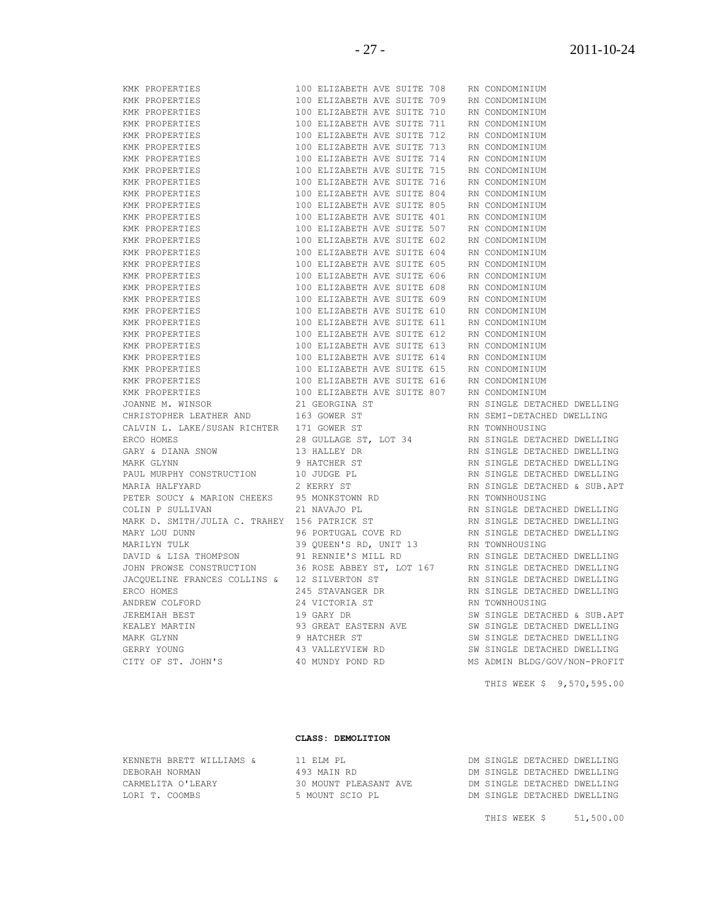| KMK .<br>PROPERTIES           |
|-------------------------------|
| KMK PROPERTIES                |
| KMK PROPERTIES                |
| KMK PROPERTIES                |
| KMK PROPERTIES                |
| KMK PROPERTIES                |
| KMK PROPERTIES                |
| KMK PROPERTIES                |
| KMK PROPERTIES                |
| KMK PROPERTIES                |
| KMK PROPERTIES                |
| KMK PROPERTIES                |
| KMK PROPERTIES                |
| KMK PROPERTIES                |
| KMK PROPERTIES                |
| KMK PROPERTIES                |
| KMK PROPERTIES                |
| KMK PROPERTIES                |
| KMK PROPERTIES                |
| KMK PROPERTIES                |
| KMK PROPERTIES                |
| KMK PROPERTIES                |
| KMK PROPERTIES                |
| KMK PROPERTIES                |
| KMK PROPERTIES                |
| KMK PROPERTIES                |
| JOANNE M. WINSOR              |
| CHRISTOPHER LEATHER AND       |
| CALVIN L. LAKE/SUSAN RICHTER  |
| ERCO HOMES                    |
| GARY & DIANA SNOW             |
| MARK GLYNN                    |
| PAUL MURPHY CONSTRUCTION      |
| MARIA HALFYARD                |
| PETER SOUCY & MARION CHEEKS   |
| COLIN P SULLIVAN              |
| MARK D. SMITH/JULIA C. TRAHEY |
| MARY LOU DUNN                 |
| MARILYN TULK                  |
| DAVID & LISA THOMPSON         |
| JOHN PROWSE CONSTRUCTION      |
| JACQUELINE FRANCES COLLINS &  |
| ERCO HOMES                    |
| ANDREW COLFORD                |
| <b>JEREMIAH BEST</b>          |
| KEALEY MARTIN                 |
| MARK GLYNN                    |
| GERRY YOUNG                   |
| CITY OF ST. JOHN'S            |

|     | 100 ELIZABETH AVE SUITE     |       | 709 |
|-----|-----------------------------|-------|-----|
|     | 100 ELIZABETH AVE SUITE     |       | 710 |
|     | 100 ELIZABETH AVE SUITE     |       | 711 |
|     | 100 ELIZABETH AVE SUITE     |       | 712 |
|     | 100 ELIZABETH AVE SUITE     |       | 713 |
|     | 100 ELIZABETH AVE SUITE 714 |       |     |
|     | 100 ELIZABETH AVE           | SUITE | 715 |
|     | 100 ELIZABETH AVE SUITE 716 |       |     |
| 100 | ELIZABETH AVE               | SUITE | 804 |
|     | 100 ELIZABETH AVE SUITE 805 |       |     |
| 100 | ELIZABETH AVE               | SUITE | 401 |
| 100 | ELIZABETH AVE SUITE 507     |       |     |
| 100 | ELIZABETH AVE               | SUITE | 602 |
|     | 100 ELIZABETH AVE SUITE 604 |       |     |
|     | 100 ELIZABETH AVE SUITE     |       | 605 |
|     | 100 ELIZABETH AVE SUITE 606 |       |     |
|     | 100 ELIZABETH AVE           | SUITE | 608 |
|     | 100 ELIZABETH AVE SUITE 609 |       |     |
|     | 100 ELIZABETH AVE SUITE     |       | 610 |
|     | 100 ELIZABETH AVE SUITE 611 |       |     |
|     | 100 ELIZABETH AVE SUITE     |       | 612 |
|     | 100 ELIZABETH AVE SUITE 613 |       |     |
|     |                             |       |     |
|     | 100 ELIZABETH AVE SUITE     |       | 614 |
|     | 100 ELIZABETH AVE SUITE 615 |       |     |
|     | 100 ELIZABETH AVE SUITE 616 |       |     |
|     | 100 ELIZABETH AVE SUITE 807 |       |     |
|     | 21 GEORGINA ST              |       |     |
|     | 163 GOWER ST                |       |     |
|     | 171 GOWER ST                |       |     |
|     | 28 GULLAGE ST, LOT 34       |       |     |
|     | 13 HALLEY DR                |       |     |
|     | 9 HATCHER ST                |       |     |
|     | 10 JUDGE PL                 |       |     |
|     | 2 KERRY ST                  |       |     |
|     | 95 MONKSTOWN RD             |       |     |
|     | 21 NAVAJO PL                |       |     |
|     | 156 PATRICK ST              |       |     |
|     | 96 PORTUGAL COVE RD         |       |     |
|     | 39 QUEEN'S RD, UNIT 13      |       |     |
|     | 91 RENNIE'S MILL RD         |       |     |
|     | 36 ROSE ABBEY ST, LOT 167   |       |     |
|     | 12 SILVERTON ST             |       |     |
|     | 245 STAVANGER DR            |       |     |
|     | 24 VICTORIA ST              |       |     |
|     | 19 GARY DR                  |       |     |
|     | 93 GREAT EASTERN AVE        |       |     |
|     | 9 HATCHER ST                |       |     |
|     | 43 VALLEYVIEW RD            |       |     |
|     | 40 MUNDY POND RD            |       |     |
|     |                             |       |     |

RN CONDOMINIUM RN CONDOMINIUM RN CONDOMINIUM RN CONDOMINIUM RN CONDOMINIUM RN CONDOMINIUM RN CONDOMINIUM RN CONDOMINIUM RN CONDOMINIUM RN CONDOMINIUM RN CONDOMINIUM RN CONDOMINIUM RN CONDOMINIUM RN CONDOMINIUM RN CONDOMINIUM RN CONDOMINIUM RN CONDOMINIUM RN CONDOMINIUM RN CONDOMINIUM RN CONDOMINIUM RN CONDOMINIUM RN CONDOMINIUM RN CONDOMINIUM RN CONDOMINIUM RN CONDOMINIUM RN CONDOMINIUM RN SINGLE DETACHED DWELLING RN SEMI-DETACHED DWELLING RN TOWNHOUSING RN SINGLE DETACHED DWELLING RN SINGLE DETACHED DWELLING RN SINGLE DETACHED DWELLING RN SINGLE DETACHED DWELLING RN SINGLE DETACHED & SUB.APT RN TOWNHOUSING RN SINGLE DETACHED DWELLING RN SINGLE DETACHED DWELLING RN SINGLE DETACHED DWELLING RN TOWNHOUSING RN SINGLE DETACHED DWELLING RN SINGLE DETACHED DWELLING RN SINGLE DETACHED DWELLING RN SINGLE DETACHED DWELLING RN TOWNHOUSING SW SINGLE DETACHED & SUB.APT SW SINGLE DETACHED DWELLING SW SINGLE DETACHED DWELLING SW SINGLE DETACHED DWELLING MS ADMIN BLDG/GOV/NON-PROFIT THIS WEEK \$ 9,570,595.00

#### **CLASS: DEMOLITION**

| KENNETH BRETT WILLIAMS & | 11 F.I.M PT.          |  | DM SINGLE DETACHED DWELLING |  |
|--------------------------|-----------------------|--|-----------------------------|--|
| DEBORAH NORMAN           | 493 MAIN RD           |  | DM SINGLE DETACHED DWELLING |  |
| CARMELITA O'LEARY        | 30 MOUNT PLEASANT AVE |  | DM SINGLE DETACHED DWELLING |  |
| LORI T. COOMBS           | 5 MOUNT SCIO PL       |  | DM SINGLE DETACHED DWELLING |  |
|                          |                       |  |                             |  |

THIS WEEK \$ 51,500.00

KMK PROPERTIES 100 ELIZABETH AVE SUITE 708 RN CONDOMINIUM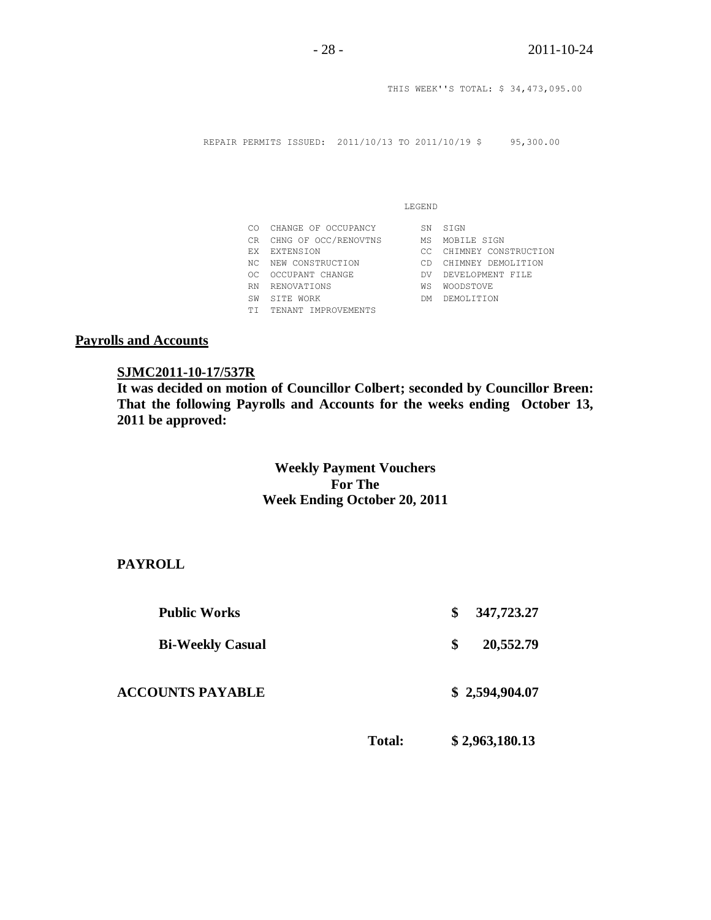THIS WEEK''S TOTAL: \$ 34,473,095.00

REPAIR PERMITS ISSUED: 2011/10/13 TO 2011/10/19 \$ 95,300.00

| ۰,<br>w |  |
|---------|--|

|     | CO CHANGE OF OCCUPANCY  | SN  | S T GN               |
|-----|-------------------------|-----|----------------------|
|     | CR CHNG OF OCC/RENOVTNS | МS  | MOBILE SIGN          |
| FX  | <b>EXTENSION</b>        | CC. | CHIMNEY CONSTRUCTION |
|     | NC NEW CONSTRUCTION     | CD. | CHIMNEY DEMOLITION   |
| OC. | OCCUPANT CHANGE         | DV. | DEVELOPMENT FILE     |
| RN  | RENOVATIONS             | WS  | <b>WOODSTOVE</b>     |
| SW  | SITE WORK               | DМ  | DEMOLITION           |
| ТT  | TENANT IMPROVEMENTS     |     |                      |

## **Payrolls and Accounts**

#### **SJMC2011-10-17/537R**

**It was decided on motion of Councillor Colbert; seconded by Councillor Breen: That the following Payrolls and Accounts for the weeks ending October 13, 2011 be approved:** 

## **Weekly Payment Vouchers For The Week Ending October 20, 2011**

**PAYROLL**

| <b>Public Works</b>     |               | \$<br>347,723.27 |
|-------------------------|---------------|------------------|
| <b>Bi-Weekly Casual</b> |               | \$<br>20,552.79  |
| <b>ACCOUNTS PAYABLE</b> |               | \$2,594,904.07   |
|                         | <b>Total:</b> | \$2,963,180.13   |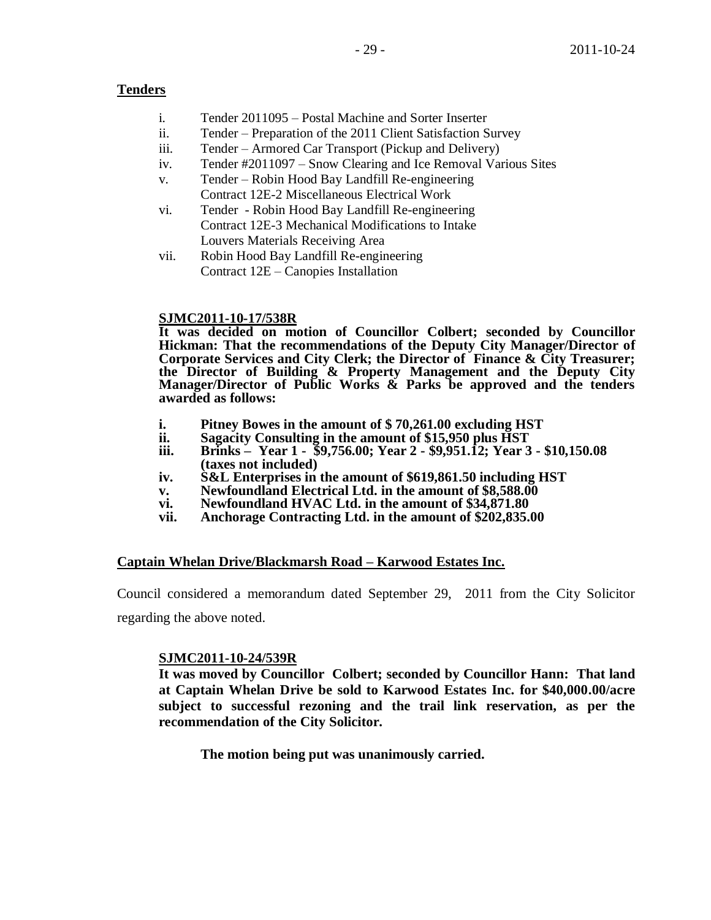## **Tenders**

- i. Tender 2011095 Postal Machine and Sorter Inserter
- ii. Tender Preparation of the 2011 Client Satisfaction Survey
- iii. Tender Armored Car Transport (Pickup and Delivery)
- iv. Tender #2011097 Snow Clearing and Ice Removal Various Sites
- v. Tender Robin Hood Bay Landfill Re-engineering Contract 12E-2 Miscellaneous Electrical Work
- vi. Tender Robin Hood Bay Landfill Re-engineering Contract 12E-3 Mechanical Modifications to Intake Louvers Materials Receiving Area
- vii. Robin Hood Bay Landfill Re-engineering Contract 12E – Canopies Installation

#### **SJMC2011-10-17/538R**

**It was decided on motion of Councillor Colbert; seconded by Councillor Hickman: That the recommendations of the Deputy City Manager/Director of Corporate Services and City Clerk; the Director of Finance & City Treasurer; the Director of Building & Property Management and the Deputy City Manager/Director of Public Works & Parks be approved and the tenders awarded as follows:**

- **i. Pitney Bowes in the amount of \$ 70,261.00 excluding HST**
- **ii. Sagacity Consulting in the amount of \$15,950 plus HST**
- **iii. Brinks Year 1 \$9,756.00; Year 2 - \$9,951.12; Year 3 - \$10,150.08 (taxes not included)**
- **iv. S&L Enterprises in the amount of \$619,861.50 including HST**
- **v. Newfoundland Electrical Ltd. in the amount of \$8,588.00**
- **vi. Newfoundland HVAC Ltd. in the amount of \$34,871.80**
- **vii. Anchorage Contracting Ltd. in the amount of \$202,835.00**

#### **Captain Whelan Drive/Blackmarsh Road – Karwood Estates Inc.**

Council considered a memorandum dated September 29, 2011 from the City Solicitor regarding the above noted.

#### **SJMC2011-10-24/539R**

**It was moved by Councillor Colbert; seconded by Councillor Hann: That land at Captain Whelan Drive be sold to Karwood Estates Inc. for \$40,000.00/acre subject to successful rezoning and the trail link reservation, as per the recommendation of the City Solicitor.**

**The motion being put was unanimously carried.**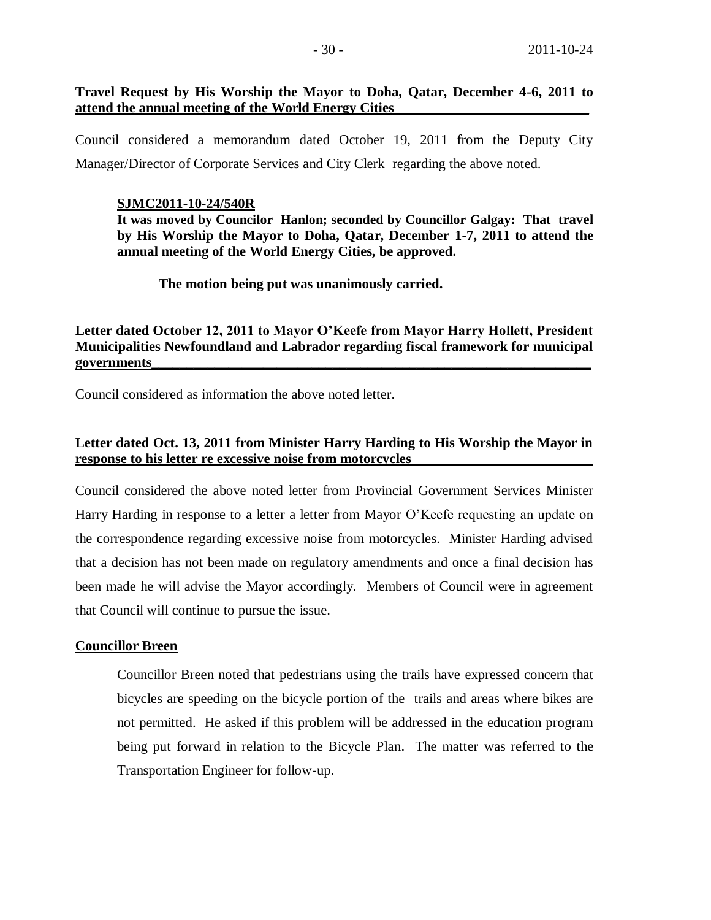#### **Travel Request by His Worship the Mayor to Doha, Qatar, December 4-6, 2011 to attend the annual meeting of the World Energy Cities\_\_\_\_\_\_\_\_\_\_\_\_\_\_\_\_\_\_\_\_\_\_\_\_\_\_\_\_**

Council considered a memorandum dated October 19, 2011 from the Deputy City Manager/Director of Corporate Services and City Clerk regarding the above noted.

#### **SJMC2011-10-24/540R**

**It was moved by Councilor Hanlon; seconded by Councillor Galgay: That travel by His Worship the Mayor to Doha, Qatar, December 1-7, 2011 to attend the annual meeting of the World Energy Cities, be approved.**

**The motion being put was unanimously carried.**

**Letter dated October 12, 2011 to Mayor O'Keefe from Mayor Harry Hollett, President Municipalities Newfoundland and Labrador regarding fiscal framework for municipal governments\_\_\_\_\_\_\_\_\_\_\_\_\_\_\_\_\_\_\_\_\_\_\_\_\_\_\_\_\_\_\_\_\_\_\_\_\_\_\_\_\_\_\_\_\_\_\_\_\_\_\_\_\_\_\_\_\_\_\_\_\_\_\_**

Council considered as information the above noted letter.

## **Letter dated Oct. 13, 2011 from Minister Harry Harding to His Worship the Mayor in**  response to his letter re excessive noise from motorcycles\_

Council considered the above noted letter from Provincial Government Services Minister Harry Harding in response to a letter a letter from Mayor O'Keefe requesting an update on the correspondence regarding excessive noise from motorcycles. Minister Harding advised that a decision has not been made on regulatory amendments and once a final decision has been made he will advise the Mayor accordingly. Members of Council were in agreement that Council will continue to pursue the issue.

#### **Councillor Breen**

Councillor Breen noted that pedestrians using the trails have expressed concern that bicycles are speeding on the bicycle portion of the trails and areas where bikes are not permitted. He asked if this problem will be addressed in the education program being put forward in relation to the Bicycle Plan. The matter was referred to the Transportation Engineer for follow-up.